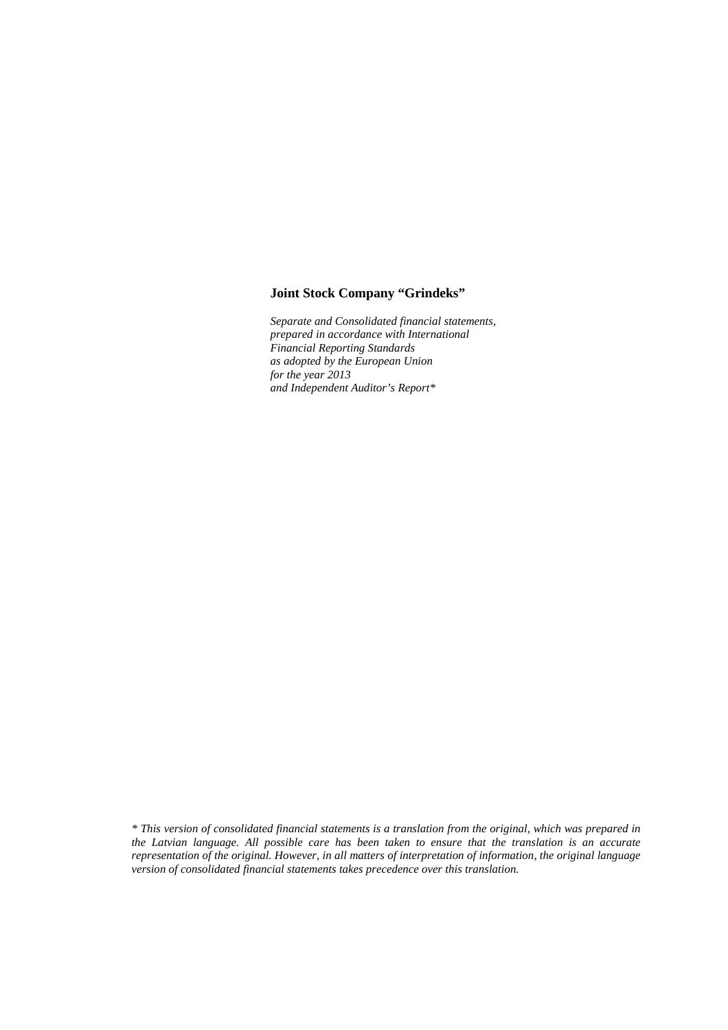# **Joint Stock Company "Grindeks"**

*Separate and Consolidated financial statements, prepared in accordance with International Financial Reporting Standards as adopted by the European Union for the year 2013 and Independent Auditor's Report\** 

*\* This version of consolidated financial statements is a translation from the original, which was prepared in the Latvian language. All possible care has been taken to ensure that the translation is an accurate representation of the original. However, in all matters of interpretation of information, the original language version of consolidated financial statements takes precedence over this translation.*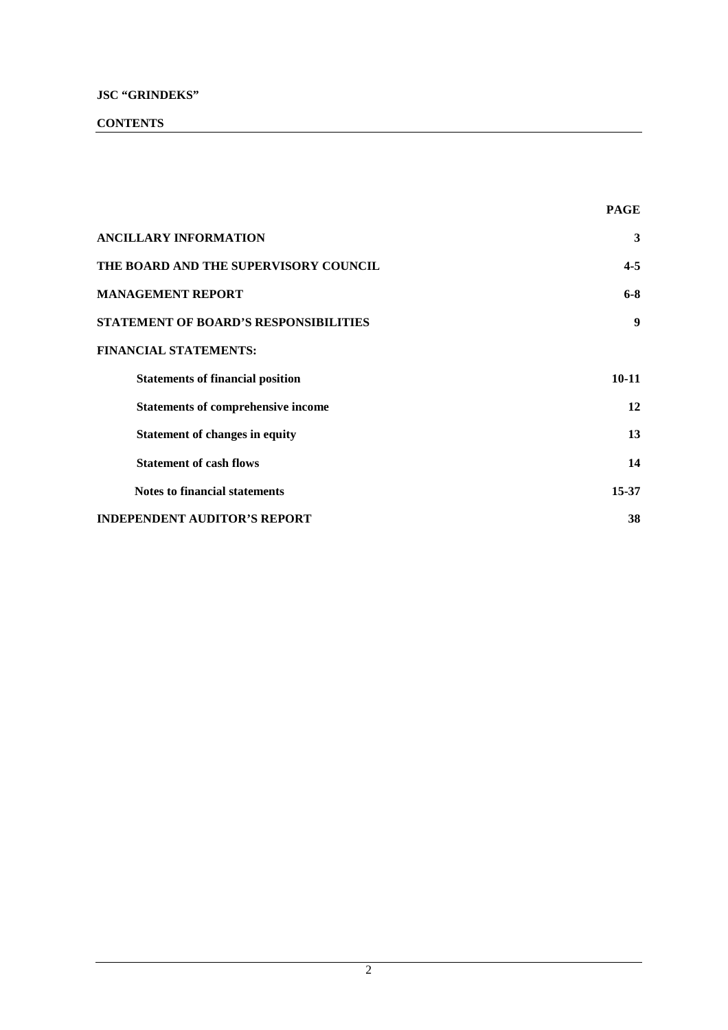# **CONTENTS**

|                                              | <b>PAGE</b> |
|----------------------------------------------|-------------|
| <b>ANCILLARY INFORMATION</b>                 | 3           |
| THE BOARD AND THE SUPERVISORY COUNCIL        | $4 - 5$     |
| <b>MANAGEMENT REPORT</b>                     | $6 - 8$     |
| <b>STATEMENT OF BOARD'S RESPONSIBILITIES</b> | 9           |
| <b>FINANCIAL STATEMENTS:</b>                 |             |
| <b>Statements of financial position</b>      | $10 - 11$   |
| <b>Statements of comprehensive income</b>    | 12          |
| <b>Statement of changes in equity</b>        | 13          |
| <b>Statement of cash flows</b>               | 14          |
| <b>Notes to financial statements</b>         | $15 - 37$   |
| INDEPENDENT AUDITOR'S REPORT                 | 38          |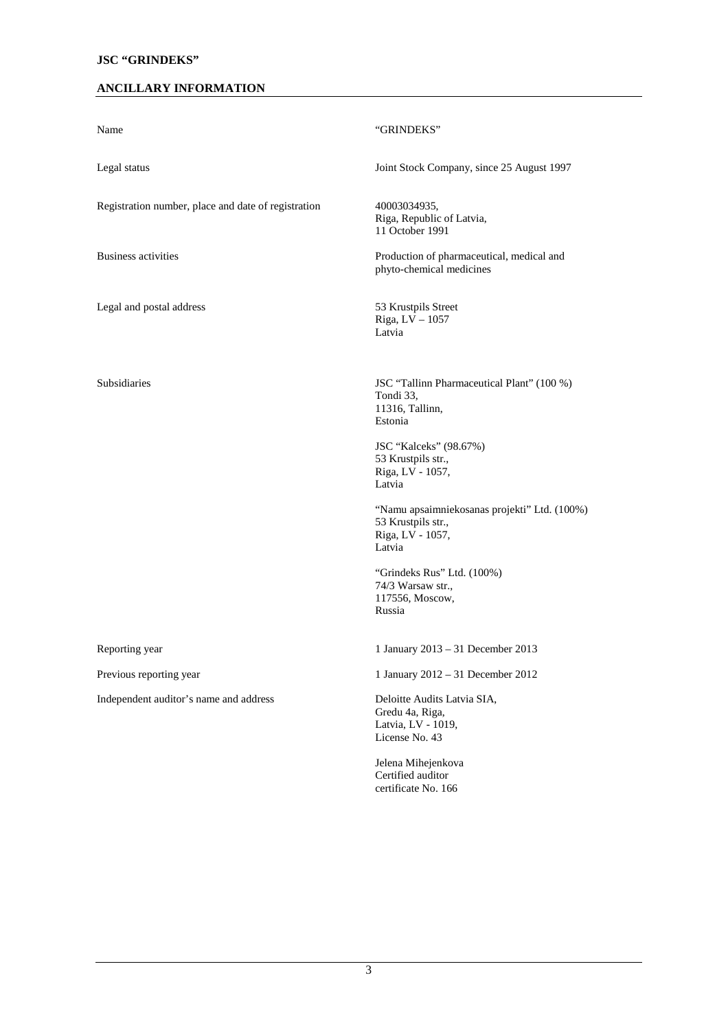# **ANCILLARY INFORMATION**

| Name                                                | "GRINDEKS"                                                                                       |
|-----------------------------------------------------|--------------------------------------------------------------------------------------------------|
| Legal status                                        | Joint Stock Company, since 25 August 1997                                                        |
| Registration number, place and date of registration | 40003034935,<br>Riga, Republic of Latvia,<br>11 October 1991                                     |
| <b>Business activities</b>                          | Production of pharmaceutical, medical and<br>phyto-chemical medicines                            |
| Legal and postal address                            | 53 Krustpils Street<br>Riga, LV - 1057<br>Latvia                                                 |
| <b>Subsidiaries</b>                                 | JSC "Tallinn Pharmaceutical Plant" (100 %)<br>Tondi 33,<br>11316, Tallinn,<br>Estonia            |
|                                                     | JSC "Kalceks" (98.67%)<br>53 Krustpils str.,<br>Riga, LV - 1057,<br>Latvia                       |
|                                                     | "Namu apsaimniekosanas projekti" Ltd. (100%)<br>53 Krustpils str.,<br>Riga, LV - 1057,<br>Latvia |
|                                                     | "Grindeks Rus" Ltd. (100%)<br>74/3 Warsaw str.,<br>117556, Moscow,<br>Russia                     |
| Reporting year                                      | 1 January 2013 - 31 December 2013                                                                |
| Previous reporting year                             | 1 January 2012 - 31 December 2012                                                                |
| Independent auditor's name and address              | Deloitte Audits Latvia SIA,<br>Gredu 4a, Riga,<br>Latvia, LV - 1019,<br>License No. 43           |
|                                                     | Jelena Mihejenkova<br>Certified auditor<br>certificate No. 166                                   |
|                                                     |                                                                                                  |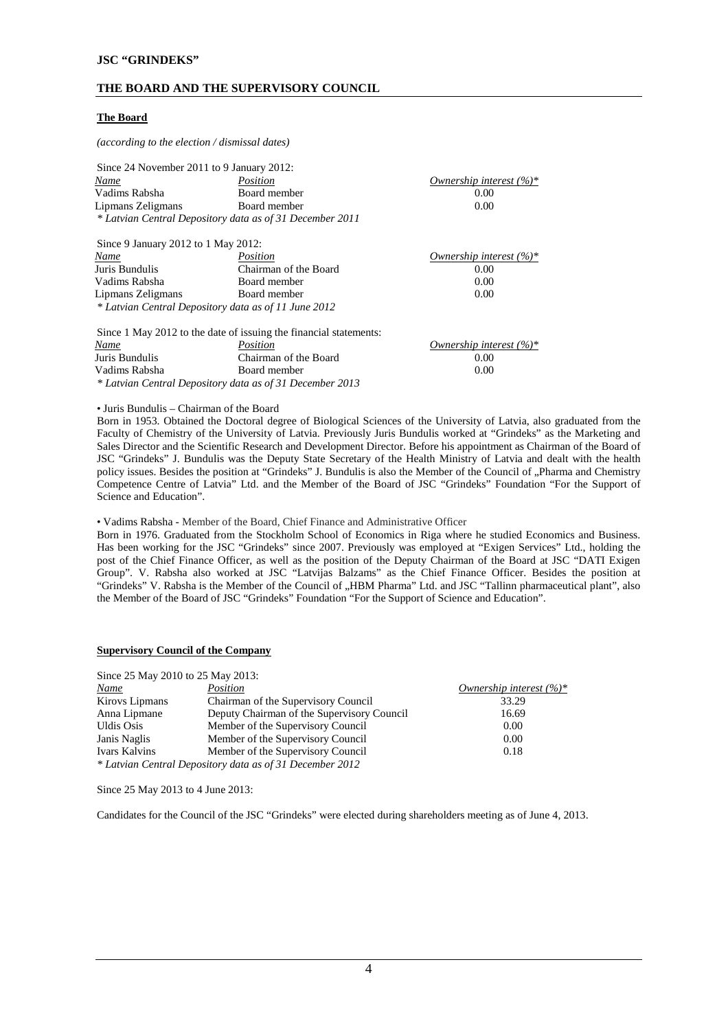# **THE BOARD AND THE SUPERVISORY COUNCIL**

#### **The Board**

*(according to the election / dismissal dates)* 

| Since 24 November 2011 to 9 January 2012:                |                       |                             |  |  |  |
|----------------------------------------------------------|-----------------------|-----------------------------|--|--|--|
| <u>Name</u>                                              | Position              | Ownership interest $(\%)^*$ |  |  |  |
| Vadims Rabsha                                            | Board member          | 0.00                        |  |  |  |
| Lipmans Zeligmans                                        | 0.00                  |                             |  |  |  |
| * Latvian Central Depository data as of 31 December 2011 |                       |                             |  |  |  |
|                                                          |                       |                             |  |  |  |
| Since 9 January 2012 to 1 May 2012:                      |                       |                             |  |  |  |
| Name                                                     | Position              | Ownership interest $(\%)^*$ |  |  |  |
| Juris Bundulis                                           | Chairman of the Board | 0.00                        |  |  |  |
| Vadims Rabsha                                            | Board member          | 0.00                        |  |  |  |
| Lipmans Zeligmans                                        | Board member          | 0.00                        |  |  |  |

*\* Latvian Central Depository data as of 11 June 2012*

|                | Since 1 May 2012 to the date of issuing the financial statements: |                            |
|----------------|-------------------------------------------------------------------|----------------------------|
| Name           | Position                                                          | Ownership interest $(%)^*$ |
| Juris Bundulis | Chairman of the Board                                             | 0.00                       |
| Vadims Rabsha  | Board member                                                      | 0.00                       |
|                | * Latvian Central Depository data as of 31 December 2013          |                            |

• Juris Bundulis – Chairman of the Board

Born in 1953. Obtained the Doctoral degree of Biological Sciences of the University of Latvia, also graduated from the Faculty of Chemistry of the University of Latvia. Previously Juris Bundulis worked at "Grindeks" as the Marketing and Sales Director and the Scientific Research and Development Director. Before his appointment as Chairman of the Board of JSC "Grindeks" J. Bundulis was the Deputy State Secretary of the Health Ministry of Latvia and dealt with the health policy issues. Besides the position at "Grindeks" J. Bundulis is also the Member of the Council of "Pharma and Chemistry Competence Centre of Latvia" Ltd. and the Member of the Board of JSC "Grindeks" Foundation "For the Support of Science and Education".

• Vadims Rabsha - Member of the Board, Chief Finance and Administrative Officer

Born in 1976. Graduated from the Stockholm School of Economics in Riga where he studied Economics and Business. Has been working for the JSC "Grindeks" since 2007. Previously was employed at "Exigen Services" Ltd., holding the post of the Chief Finance Officer, as well as the position of the Deputy Chairman of the Board at JSC "DATI Exigen Group". V. Rabsha also worked at JSC "Latvijas Balzams" as the Chief Finance Officer. Besides the position at "Grindeks" V. Rabsha is the Member of the Council of "HBM Pharma" Ltd. and JSC "Tallinn pharmaceutical plant", also the Member of the Board of JSC "Grindeks" Foundation "For the Support of Science and Education".

#### **Supervisory Council of the Company**

| Since 25 May 2010 to 25 May 2013: |                                                          |                            |
|-----------------------------------|----------------------------------------------------------|----------------------------|
| Name                              | Position                                                 | Ownership interest $(%)^*$ |
| Kirovs Lipmans                    | Chairman of the Supervisory Council                      | 33.29                      |
| Anna Lipmane                      | Deputy Chairman of the Supervisory Council               | 16.69                      |
| <b>Uldis Osis</b>                 | Member of the Supervisory Council                        | 0.00                       |
| Janis Naglis                      | Member of the Supervisory Council                        | 0.00                       |
| Ivars Kalvins                     | Member of the Supervisory Council                        | 0.18                       |
|                                   | * Latvian Central Depository data as of 31 December 2012 |                            |

Since 25 May 2013 to 4 June 2013:

Candidates for the Council of the JSC "Grindeks" were elected during shareholders meeting as of June 4, 2013.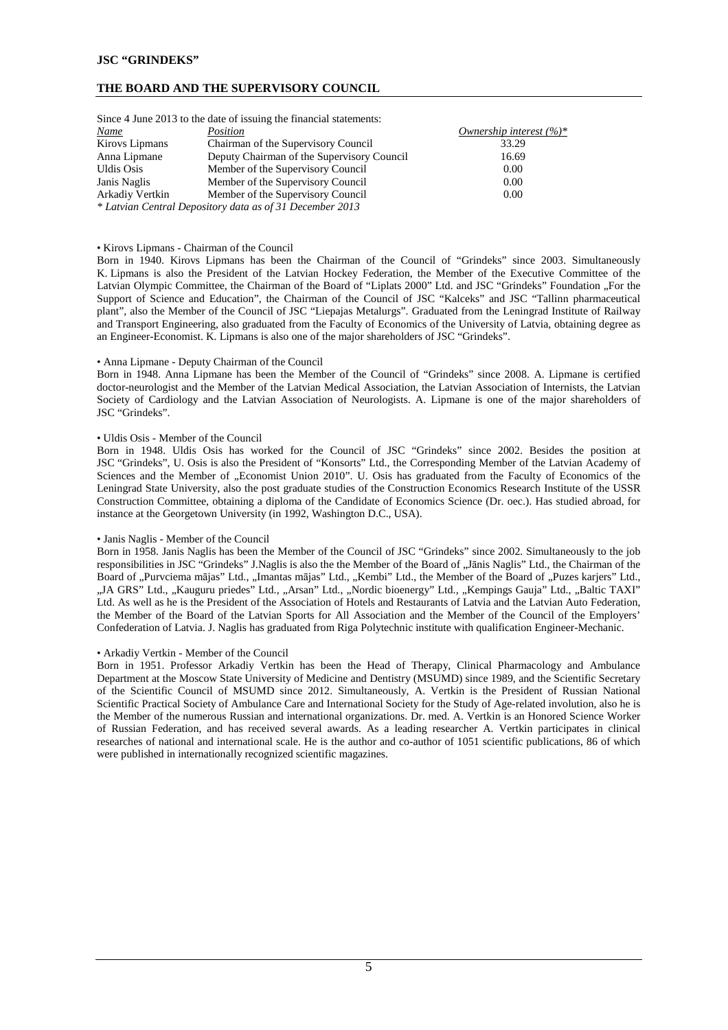#### **THE BOARD AND THE SUPERVISORY COUNCIL**

|                 | Since 4 June 2013 to the date of issuing the financial statements: |                             |
|-----------------|--------------------------------------------------------------------|-----------------------------|
| <b>Name</b>     | Position                                                           | Ownership interest $(\%)^*$ |
| Kirovs Lipmans  | Chairman of the Supervisory Council                                | 33.29                       |
| Anna Lipmane    | Deputy Chairman of the Supervisory Council                         | 16.69                       |
| Uldis Osis      | Member of the Supervisory Council                                  | 0.00                        |
| Janis Naglis    | Member of the Supervisory Council                                  | 0.00                        |
| Arkadiy Vertkin | Member of the Supervisory Council                                  | 0.00                        |
|                 | * Latvian Central Depository data as of 31 December 2013           |                             |

Since 4 June 2013 to the date of issuing the financial statements:

#### • Kirovs Lipmans - Chairman of the Council

Born in 1940. Kirovs Lipmans has been the Chairman of the Council of "Grindeks" since 2003. Simultaneously K. Lipmans is also the President of the Latvian Hockey Federation, the Member of the Executive Committee of the Latvian Olympic Committee, the Chairman of the Board of "Liplats 2000" Ltd. and JSC "Grindeks" Foundation "For the Support of Science and Education", the Chairman of the Council of JSC "Kalceks" and JSC "Tallinn pharmaceutical plant", also the Member of the Council of JSC "Liepajas Metalurgs". Graduated from the Leningrad Institute of Railway and Transport Engineering, also graduated from the Faculty of Economics of the University of Latvia, obtaining degree as an Engineer-Economist. K. Lipmans is also one of the major shareholders of JSC "Grindeks".

#### • Anna Lipmane - Deputy Chairman of the Council

Born in 1948. Anna Lipmane has been the Member of the Council of "Grindeks" since 2008. A. Lipmane is certified doctor-neurologist and the Member of the Latvian Medical Association, the Latvian Association of Internists, the Latvian Society of Cardiology and the Latvian Association of Neurologists. A. Lipmane is one of the major shareholders of JSC "Grindeks".

#### • Uldis Osis - Member of the Council

Born in 1948. Uldis Osis has worked for the Council of JSC "Grindeks" since 2002. Besides the position at JSC "Grindeks", U. Osis is also the President of "Konsorts" Ltd., the Corresponding Member of the Latvian Academy of Sciences and the Member of "Economist Union 2010". U. Osis has graduated from the Faculty of Economics of the Leningrad State University, also the post graduate studies of the Construction Economics Research Institute of the USSR Construction Committee, obtaining a diploma of the Candidate of Economics Science (Dr. oec.). Has studied abroad, for instance at the Georgetown University (in 1992, Washington D.C., USA).

#### • Janis Naglis - Member of the Council

Born in 1958. Janis Naglis has been the Member of the Council of JSC "Grindeks" since 2002. Simultaneously to the job responsibilities in JSC "Grindeks" J.Naglis is also the the Member of the Board of "Janis Naglis" Ltd., the Chairman of the Board of "Purvciema mājas" Ltd., "Imantas mājas" Ltd., "Kembi" Ltd., the Member of the Board of "Puzes karjers" Ltd., "JA GRS" Ltd., "Kauguru priedes" Ltd., "Arsan" Ltd., "Nordic bioenergy" Ltd., "Kempings Gauja" Ltd., "Baltic TAXI" Ltd. As well as he is the President of the Association of Hotels and Restaurants of Latvia and the Latvian Auto Federation, the Member of the Board of the Latvian Sports for All Association and the Member of the Council of the Employers' Confederation of Latvia. J. Naglis has graduated from Riga Polytechnic institute with qualification Engineer-Mechanic.

#### • Arkadiy Vertkin - Member of the Council

Born in 1951. Professor Arkadiy Vertkin has been the Head of Therapy, Clinical Pharmacology and Ambulance Department at the Moscow State University of Medicine and Dentistry (MSUMD) since 1989, and the Scientific Secretary of the Scientific Council of MSUMD since 2012. Simultaneously, A. Vertkin is the President of Russian National Scientific Practical Society of Ambulance Care and International Society for the Study of Age-related involution, also he is the Member of the numerous Russian and international organizations. Dr. med. A. Vertkin is an Honored Science Worker of Russian Federation, and has received several awards. As a leading researcher A. Vertkin participates in clinical researches of national and international scale. He is the author and co-author of 1051 scientific publications, 86 of which were published in internationally recognized scientific magazines.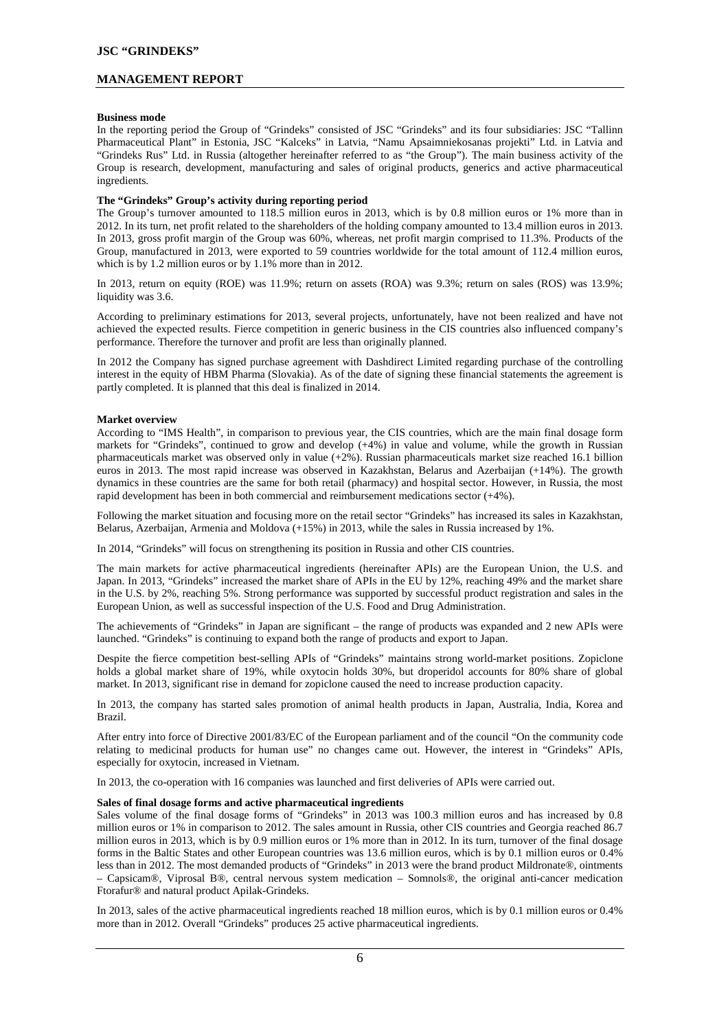## **MANAGEMENT REPORT**

#### **Business mode**

In the reporting period the Group of "Grindeks" consisted of JSC "Grindeks" and its four subsidiaries: JSC "Tallinn Pharmaceutical Plant" in Estonia, JSC "Kalceks" in Latvia, "Namu Apsaimniekosanas projekti" Ltd. in Latvia and "Grindeks Rus" Ltd. in Russia (altogether hereinafter referred to as "the Group"). The main business activity of the Group is research, development, manufacturing and sales of original products, generics and active pharmaceutical ingredients.

#### **The "Grindeks" Group's activity during reporting period**

The Group's turnover amounted to 118.5 million euros in 2013, which is by 0.8 million euros or 1% more than in 2012. In its turn, net profit related to the shareholders of the holding company amounted to 13.4 million euros in 2013. In 2013, gross profit margin of the Group was 60%, whereas, net profit margin comprised to 11.3%. Products of the Group, manufactured in 2013, were exported to 59 countries worldwide for the total amount of 112.4 million euros, which is by 1.2 million euros or by 1.1% more than in 2012.

In 2013, return on equity (ROE) was 11.9%; return on assets (ROA) was 9.3%; return on sales (ROS) was 13.9%; liquidity was 3.6.

According to preliminary estimations for 2013, several projects, unfortunately, have not been realized and have not achieved the expected results. Fierce competition in generic business in the CIS countries also influenced company's performance. Therefore the turnover and profit are less than originally planned.

In 2012 the Company has signed purchase agreement with Dashdirect Limited regarding purchase of the controlling interest in the equity of HBM Pharma (Slovakia). As of the date of signing these financial statements the agreement is partly completed. It is planned that this deal is finalized in 2014.

#### **Market overview**

According to "IMS Health", in comparison to previous year, the CIS countries, which are the main final dosage form markets for "Grindeks", continued to grow and develop (+4%) in value and volume, while the growth in Russian pharmaceuticals market was observed only in value (+2%). Russian pharmaceuticals market size reached 16.1 billion euros in 2013. The most rapid increase was observed in Kazakhstan, Belarus and Azerbaijan (+14%). The growth dynamics in these countries are the same for both retail (pharmacy) and hospital sector. However, in Russia, the most rapid development has been in both commercial and reimbursement medications sector (+4%).

Following the market situation and focusing more on the retail sector "Grindeks" has increased its sales in Kazakhstan, Belarus, Azerbaijan, Armenia and Moldova (+15%) in 2013, while the sales in Russia increased by 1%.

In 2014, "Grindeks" will focus on strengthening its position in Russia and other CIS countries.

The main markets for active pharmaceutical ingredients (hereinafter APIs) are the European Union, the U.S. and Japan. In 2013, "Grindeks" increased the market share of APIs in the EU by 12%, reaching 49% and the market share in the U.S. by 2%, reaching 5%. Strong performance was supported by successful product registration and sales in the European Union, as well as successful inspection of the U.S. Food and Drug Administration.

The achievements of "Grindeks" in Japan are significant – the range of products was expanded and 2 new APIs were launched. "Grindeks" is continuing to expand both the range of products and export to Japan.

Despite the fierce competition best-selling APIs of "Grindeks" maintains strong world-market positions. Zopiclone holds a global market share of 19%, while oxytocin holds 30%, but droperidol accounts for 80% share of global market. In 2013, significant rise in demand for zopiclone caused the need to increase production capacity.

In 2013, the company has started sales promotion of animal health products in Japan, Australia, India, Korea and Brazil.

After entry into force of Directive 2001/83/EC of the European parliament and of the council "On the community code relating to medicinal products for human use" no changes came out. However, the interest in "Grindeks" APIs, especially for oxytocin, increased in Vietnam.

In 2013, the co-operation with 16 companies was launched and first deliveries of APIs were carried out.

#### **Sales of final dosage forms and active pharmaceutical ingredients**

Sales volume of the final dosage forms of "Grindeks" in 2013 was 100.3 million euros and has increased by 0.8 million euros or 1% in comparison to 2012. The sales amount in Russia, other CIS countries and Georgia reached 86.7 million euros in 2013, which is by 0.9 million euros or 1% more than in 2012. In its turn, turnover of the final dosage forms in the Baltic States and other European countries was 13.6 million euros, which is by 0.1 million euros or 0.4% less than in 2012. The most demanded products of "Grindeks" in 2013 were the brand product Mildronate®, ointments

– Capsicam®, Viprosal B®, central nervous system medication – Somnols®, the original anti-cancer medication Ftorafur® and natural product Apilak-Grindeks.

In 2013, sales of the active pharmaceutical ingredients reached 18 million euros, which is by 0.1 million euros or 0.4% more than in 2012. Overall "Grindeks" produces 25 active pharmaceutical ingredients.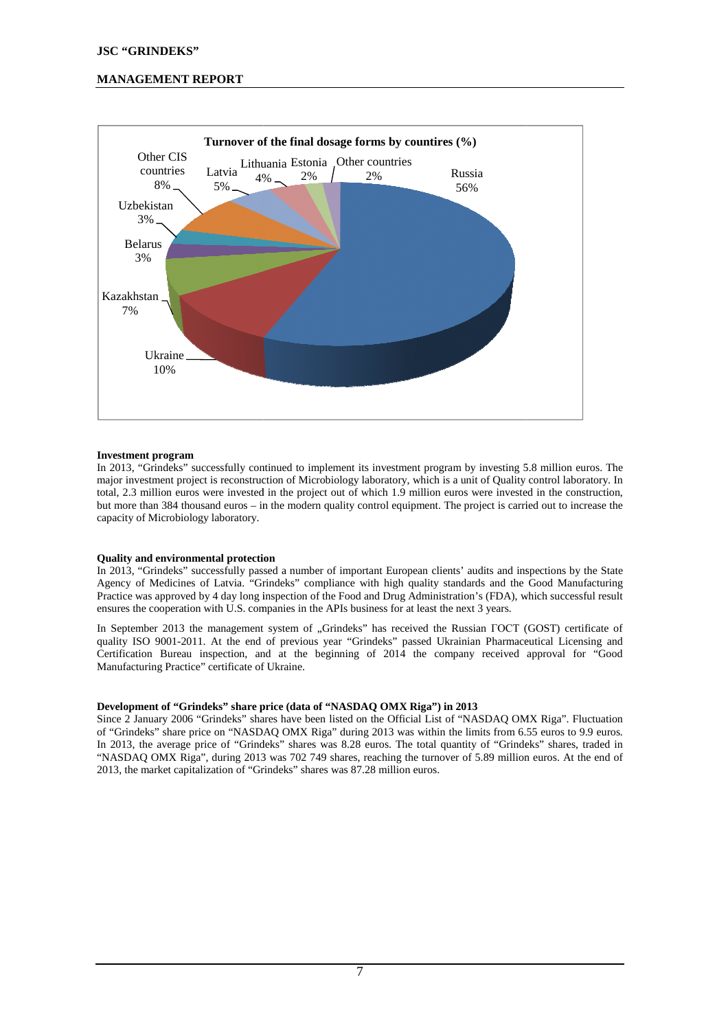# **MANAGEMENT REPORT**



#### **Investment program**

In 2013, "Grindeks" successfully continued to implement its investment program by investing 5.8 million euros. The major investment project is reconstruction of Microbiology laboratory, which is a unit of Quality control laboratory. In total, 2.3 million euros were invested in the project out of which 1.9 million euros were invested in the construction, but more than 384 thousand euros – in the modern quality control equipment. The project is carried out to increase the capacity of Microbiology laboratory.

#### **Quality and environmental protection**

In 2013, "Grindeks" successfully passed a number of important European clients' audits and inspections by the State Agency of Medicines of Latvia. "Grindeks" compliance with high quality standards and the Good Manufacturing In 2013, "Grindeks" successfully passed a number of important European clients' audits and inspections by the State<br>Agency of Medicines of Latvia. "Grindeks" compliance with high quality standards and the Good Manufacturin ensures the cooperation with U.S. companies in the APIs business for at least the next 3 years.

In September 2013 the management system of "Grindeks" has received the Russian ГОСТ (GOST) certificate of quality ISO 9001-2011. At the end of previous year "Grindeks" passed Ukrainian Pharmaceutical Licensing and Certification Bureau inspection, and at the beginning of 2014 the company received approval for "Good Manufacturing Practice" certificate of Ukraine 2011. At the end of previo<br>au inspection, and at the<br>ctice" certificate of Ukraine.

#### **Development of "Grindeks" share price (data of "NASDAQ OMX Riga") in 2013**

Since 2 January 2006 "Grindeks" shares have been listed on the Official List of "NASDAQ OMX Riga". Fluctuation of "Grindeks" share price on "NASDAQ OMX Riga" during 2013 was within the limits from 6.55 euros to 9.9 euros. " In 2013, the average price of "Grindeks" shares was 8.28 euros. The total quantity of "Grindeks" shares, traded in "NASDAQ OMX Riga", during 2013 was 702 749 shares, reaching the turnover of 5.89 million euros. At the end of 2013, the market capitalization of "Grindeks" shares was 87.28 million euros.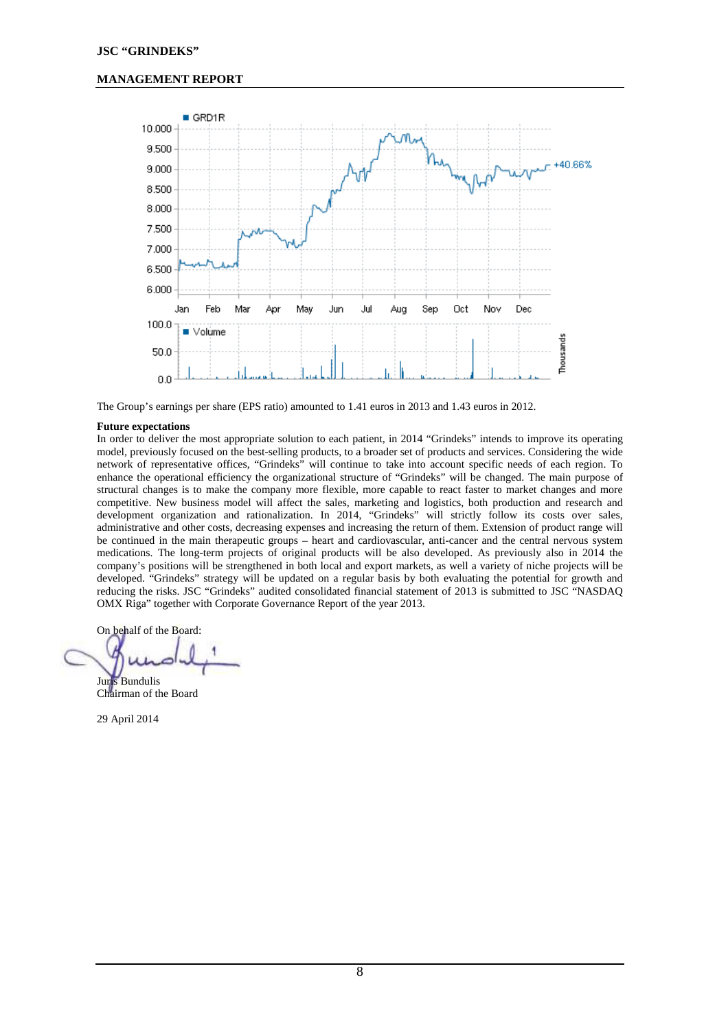# **MANAGEMENT REPORT**



The Group's earnings per share (EPS ratio) amounted to 1.41 euros in 2013 and 1.43 euros in 2012.

#### **Future expectations**

In order to deliver the most appropriate solution to each patient, in 2014 "Grindeks" intends to improve its operating model, previously focused on the best-selling products, to a broader set of products and services. Considering the wide network of representative offices, "Grindeks" will continue to take into account specific needs of each region. To enhance the operational efficiency the organizational structure of "Grindeks" will be changed. The main purpose of structural changes is to make the company more flexible, more capable to react faster to market changes and more competitive. New business model will affect the sales, marketing and logistics, both production and research and development organization and rationalization. In 2014, "Grindeks" will strictly follow its costs over sales, administrative and other costs, decreasing expenses and increasing the return of them. Extension of product range will be continued in the main therapeutic groups – heart and cardiovascular, anti-cancer and the central nervous system medications. The long-term projects of original products will be also developed. As previously also in 2014 the company's positions will be strengthened in both local and export markets, as well a variety of niche projects will be developed. "Grindeks" strategy will be updated on a regular basis by both evaluating the potential for growth and reducing the risks. JSC "Grindeks" audited consolidated financial statement of 2013 is submitted to JSC "NASDAQ OMX Riga" together with Corporate Governance Report of the year 2013.

On behalf of the Board:

Juris Bundulis Chairman of the Board

29 April 2014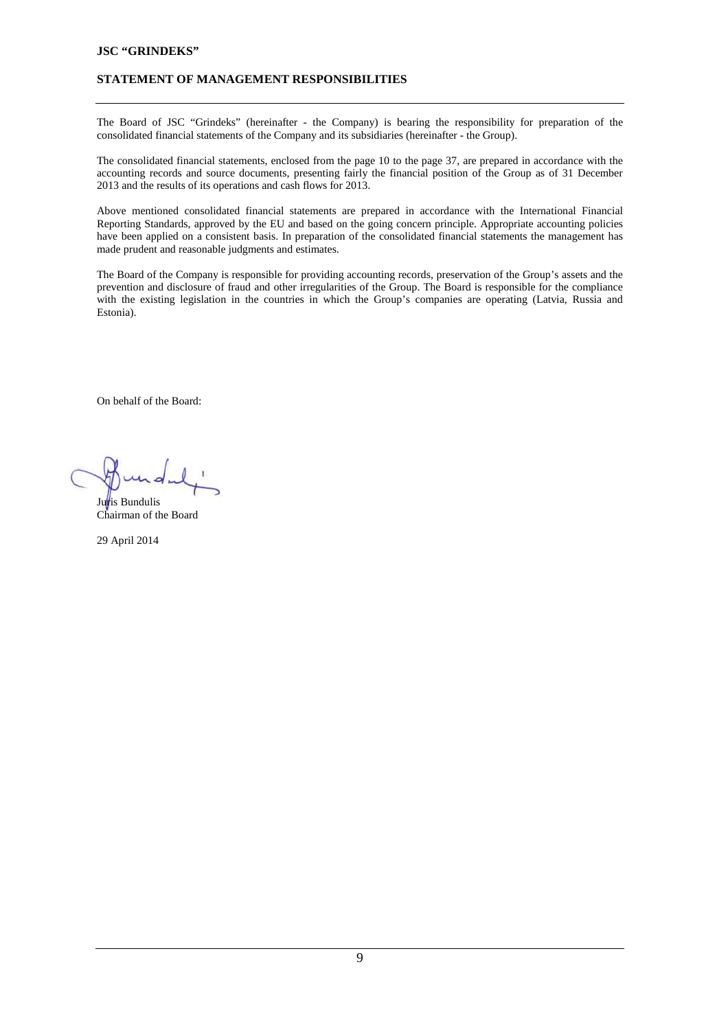# **STATEMENT OF MANAGEMENT RESPONSIBILITIES**

The Board of JSC "Grindeks" (hereinafter - the Company) is bearing the responsibility for preparation of the consolidated financial statements of the Company and its subsidiaries (hereinafter - the Group).

The consolidated financial statements, enclosed from the page 10 to the page 37, are prepared in accordance with the accounting records and source documents, presenting fairly the financial position of the Group as of 31 December 2013 and the results of its operations and cash flows for 2013.

Above mentioned consolidated financial statements are prepared in accordance with the International Financial Reporting Standards, approved by the EU and based on the going concern principle. Appropriate accounting policies have been applied on a consistent basis. In preparation of the consolidated financial statements the management has made prudent and reasonable judgments and estimates.

The Board of the Company is responsible for providing accounting records, preservation of the Group's assets and the prevention and disclosure of fraud and other irregularities of the Group. The Board is responsible for the compliance with the existing legislation in the countries in which the Group's companies are operating (Latvia, Russia and Estonia).

On behalf of the Board:

<sup>i</sup>is Bundulis Chairman of the Board

29 April 2014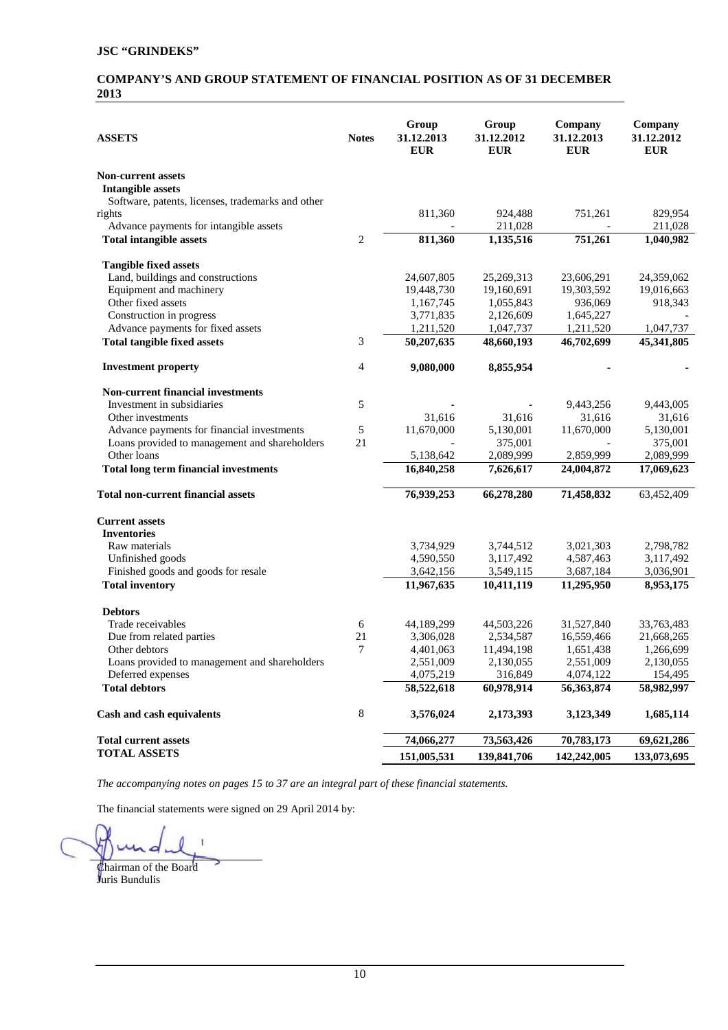# **COMPANY'S AND GROUP STATEMENT OF FINANCIAL POSITION AS OF 31 DECEMBER 2013**

| <b>ASSETS</b>                                     | <b>Notes</b> | Group<br>31.12.2013<br><b>EUR</b> | Group<br>31.12.2012<br><b>EUR</b> | Company<br>31.12.2013<br><b>EUR</b> | Company<br>31.12.2012<br><b>EUR</b> |
|---------------------------------------------------|--------------|-----------------------------------|-----------------------------------|-------------------------------------|-------------------------------------|
| <b>Non-current assets</b>                         |              |                                   |                                   |                                     |                                     |
| <b>Intangible assets</b>                          |              |                                   |                                   |                                     |                                     |
| Software, patents, licenses, trademarks and other |              |                                   |                                   |                                     |                                     |
| rights                                            |              | 811,360                           | 924,488                           | 751,261                             | 829,954                             |
| Advance payments for intangible assets            | $\mathbf{2}$ |                                   | 211,028                           |                                     | 211,028                             |
| <b>Total intangible assets</b>                    |              | 811,360                           | 1,135,516                         | 751,261                             | 1,040,982                           |
| <b>Tangible fixed assets</b>                      |              |                                   |                                   |                                     |                                     |
| Land, buildings and constructions                 |              | 24,607,805                        | 25,269,313                        | 23,606,291                          | 24,359,062                          |
| Equipment and machinery                           |              | 19,448,730                        | 19,160,691                        | 19,303,592                          | 19,016,663                          |
| Other fixed assets                                |              | 1,167,745                         | 1,055,843                         | 936,069                             | 918,343                             |
| Construction in progress                          |              | 3,771,835                         | 2,126,609                         | 1,645,227                           |                                     |
| Advance payments for fixed assets                 |              | 1,211,520                         | 1,047,737                         | 1,211,520                           | 1,047,737                           |
| <b>Total tangible fixed assets</b>                | 3            | 50,207,635                        | 48,660,193                        | 46,702,699                          | 45,341,805                          |
| <b>Investment property</b>                        | 4            | 9,080,000                         | 8,855,954                         |                                     |                                     |
| <b>Non-current financial investments</b>          |              |                                   |                                   |                                     |                                     |
| Investment in subsidiaries                        | 5            |                                   |                                   | 9,443,256                           | 9,443,005                           |
| Other investments                                 |              | 31,616                            | 31,616                            | 31,616                              | 31,616                              |
| Advance payments for financial investments        | 5            | 11,670,000                        | 5,130,001                         | 11,670,000                          | 5,130,001                           |
| Loans provided to management and shareholders     | 21           |                                   | 375,001                           |                                     | 375,001                             |
| Other loans                                       |              | 5,138,642                         | 2,089,999                         | 2,859,999                           | 2,089,999                           |
| <b>Total long term financial investments</b>      |              | 16,840,258                        | 7,626,617                         | 24,004,872                          | 17,069,623                          |
| <b>Total non-current financial assets</b>         |              | 76,939,253                        | 66,278,280                        | 71,458,832                          | 63,452,409                          |
| <b>Current assets</b>                             |              |                                   |                                   |                                     |                                     |
| <b>Inventories</b>                                |              |                                   |                                   |                                     |                                     |
| Raw materials                                     |              | 3,734,929                         | 3,744,512                         | 3,021,303                           | 2,798,782                           |
| Unfinished goods                                  |              | 4,590,550                         | 3,117,492                         | 4,587,463                           | 3,117,492                           |
| Finished goods and goods for resale               |              | 3,642,156                         | 3,549,115                         | 3,687,184                           | 3,036,901                           |
| <b>Total inventory</b>                            |              | 11,967,635                        | 10,411,119                        | 11,295,950                          | 8,953,175                           |
| <b>Debtors</b>                                    |              |                                   |                                   |                                     |                                     |
| Trade receivables                                 | 6            | 44,189,299                        | 44,503,226                        | 31,527,840                          | 33,763,483                          |
| Due from related parties                          | 21           | 3,306,028                         | 2,534,587                         | 16,559,466                          | 21,668,265                          |
| Other debtors                                     | 7            | 4,401,063                         | 11,494,198                        | 1,651,438                           | 1,266,699                           |
| Loans provided to management and shareholders     |              | 2,551,009                         | 2,130,055                         | 2,551,009                           | 2,130,055                           |
| Deferred expenses                                 |              | 4,075,219                         | 316,849                           | 4,074,122                           | 154,495                             |
| <b>Total debtors</b>                              |              | 58,522,618                        | 60,978,914                        | 56, 363, 874                        | 58,982,997                          |
| Cash and cash equivalents                         | 8            | 3,576,024                         | 2,173,393                         | 3,123,349                           | 1,685,114                           |
| <b>Total current assets</b>                       |              | 74,066,277                        | 73,563,426                        | 70,783,173                          | 69,621,286                          |
| <b>TOTAL ASSETS</b>                               |              | 151,005,531                       | 139,841,706                       | 142,242,005                         | 133,073,695                         |

*The accompanying notes on pages 15 to 37 are an integral part of these financial statements.* 

 ï h

Chairman of the Board Juris Bundulis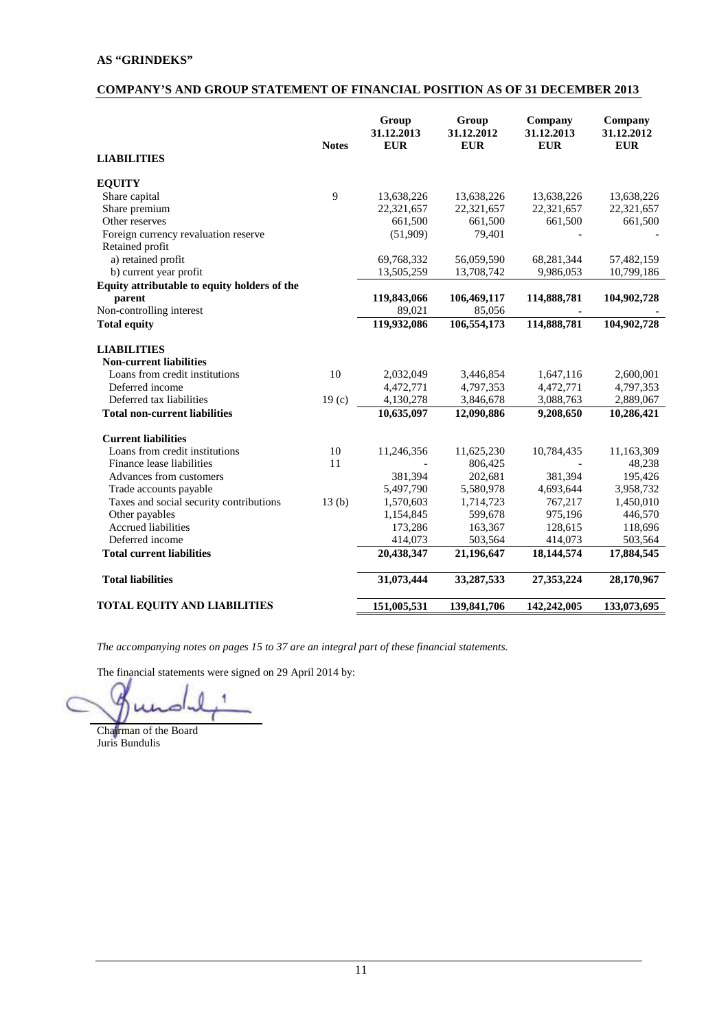# **AS "GRINDEKS"**

# **COMPANY'S AND GROUP STATEMENT OF FINANCIAL POSITION AS OF 31 DECEMBER 2013**

|                                              | <b>Notes</b>      | Group<br>31.12.2013<br><b>EUR</b> | Group<br>31.12.2012<br><b>EUR</b> | Company<br>31.12.2013<br><b>EUR</b> | Company<br>31.12.2012<br><b>EUR</b> |
|----------------------------------------------|-------------------|-----------------------------------|-----------------------------------|-------------------------------------|-------------------------------------|
| <b>LIABILITIES</b>                           |                   |                                   |                                   |                                     |                                     |
| <b>EQUITY</b>                                |                   |                                   |                                   |                                     |                                     |
| Share capital                                | 9                 | 13,638,226                        | 13,638,226                        | 13,638,226                          | 13,638,226                          |
| Share premium                                |                   | 22,321,657                        | 22,321,657                        | 22,321,657                          | 22,321,657                          |
| Other reserves                               |                   | 661,500                           | 661,500                           | 661,500                             | 661,500                             |
| Foreign currency revaluation reserve         |                   | (51,909)                          | 79,401                            |                                     |                                     |
| Retained profit                              |                   |                                   |                                   |                                     |                                     |
| a) retained profit                           |                   | 69,768,332                        | 56,059,590                        | 68,281,344                          | 57,482,159                          |
| b) current year profit                       |                   | 13,505,259                        | 13,708,742                        | 9,986,053                           | 10,799,186                          |
| Equity attributable to equity holders of the |                   |                                   |                                   |                                     |                                     |
| parent                                       |                   | 119,843,066                       | 106,469,117                       | 114,888,781                         | 104,902,728                         |
| Non-controlling interest                     |                   | 89,021                            | 85,056                            |                                     |                                     |
| <b>Total equity</b>                          |                   | 119,932,086                       | 106,554,173                       | 114,888,781                         | 104,902,728                         |
| <b>LIABILITIES</b>                           |                   |                                   |                                   |                                     |                                     |
| <b>Non-current liabilities</b>               |                   |                                   |                                   |                                     |                                     |
| Loans from credit institutions               | 10                | 2,032,049                         | 3,446,854                         | 1,647,116                           | 2,600,001                           |
| Deferred income                              |                   | 4,472,771                         | 4,797,353                         | 4,472,771                           | 4,797,353                           |
| Deferred tax liabilities                     | 19 <sub>(c)</sub> | 4,130,278                         | 3,846,678                         | 3,088,763                           | 2,889,067                           |
| <b>Total non-current liabilities</b>         |                   | 10,635,097                        | 12,090,886                        | 9,208,650                           | 10,286,421                          |
| <b>Current liabilities</b>                   |                   |                                   |                                   |                                     |                                     |
| Loans from credit institutions               | 10                | 11,246,356                        | 11,625,230                        | 10,784,435                          | 11,163,309                          |
| Finance lease liabilities                    | 11                |                                   | 806,425                           |                                     | 48,238                              |
| Advances from customers                      |                   | 381,394                           | 202,681                           | 381,394                             | 195,426                             |
| Trade accounts payable                       |                   | 5,497,790                         | 5,580,978                         | 4,693,644                           | 3,958,732                           |
| Taxes and social security contributions      | 13(b)             | 1,570,603                         | 1,714,723                         | 767,217                             | 1,450,010                           |
| Other payables                               |                   | 1,154,845                         | 599.678                           | 975,196                             | 446,570                             |
| <b>Accrued liabilities</b>                   |                   | 173,286                           | 163,367                           | 128,615                             | 118,696                             |
| Deferred income                              |                   | 414,073                           | 503,564                           | 414,073                             | 503,564                             |
| <b>Total current liabilities</b>             |                   | 20,438,347                        | 21,196,647                        | 18,144,574                          | 17,884,545                          |
| <b>Total liabilities</b>                     |                   | 31,073,444                        | 33,287,533                        | 27,353,224                          | 28,170,967                          |
| <b>TOTAL EQUITY AND LIABILITIES</b>          |                   | 151,005,531                       | 139,841,706                       | 142,242,005                         | 133,073,695                         |

*The accompanying notes on pages 15 to 37 are an integral part of these financial statements.* 

Chairman of the Board

Juris Bundulis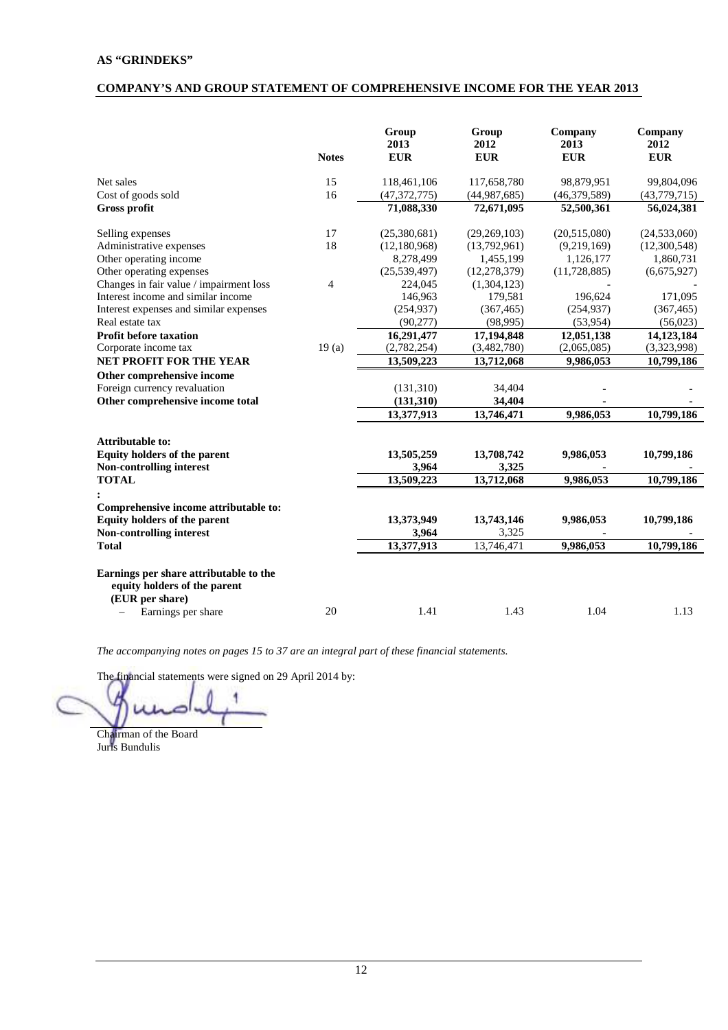# **AS "GRINDEKS"**

# **COMPANY'S AND GROUP STATEMENT OF COMPREHENSIVE INCOME FOR THE YEAR 2013**

|                                                                                                                 | <b>Notes</b>   | Group<br>2013<br><b>EUR</b> | Group<br>2012<br><b>EUR</b> | Company<br>2013<br><b>EUR</b> | Company<br>2012<br><b>EUR</b> |
|-----------------------------------------------------------------------------------------------------------------|----------------|-----------------------------|-----------------------------|-------------------------------|-------------------------------|
| Net sales                                                                                                       | 15             | 118,461,106                 | 117,658,780                 | 98,879,951                    | 99,804,096                    |
| Cost of goods sold                                                                                              | 16             | (47, 372, 775)              | (44,987,685)                | (46, 379, 589)                | (43,779,715)                  |
| Gross profit                                                                                                    |                | 71,088,330                  | 72,671,095                  | 52,500,361                    | 56,024,381                    |
| Selling expenses                                                                                                | 17             | (25,380,681)                | (29, 269, 103)              | (20,515,080)                  | (24, 533, 060)                |
| Administrative expenses                                                                                         | 18             | (12, 180, 968)              | (13,792,961)                | (9,219,169)                   | (12,300,548)                  |
| Other operating income                                                                                          |                | 8,278,499                   | 1,455,199                   | 1,126,177                     | 1,860,731                     |
| Other operating expenses                                                                                        |                | (25, 539, 497)              | (12, 278, 379)              | (11, 728, 885)                | (6,675,927)                   |
| Changes in fair value / impairment loss                                                                         | $\overline{4}$ | 224,045                     | (1,304,123)                 |                               |                               |
| Interest income and similar income                                                                              |                | 146,963                     | 179,581                     | 196.624                       | 171,095                       |
| Interest expenses and similar expenses                                                                          |                | (254, 937)                  | (367, 465)                  | (254, 937)                    | (367, 465)                    |
| Real estate tax                                                                                                 |                | (90, 277)                   | (98, 995)                   | (53,954)                      | (56,023)                      |
| <b>Profit before taxation</b>                                                                                   |                | 16,291,477                  | 17,194,848                  | 12,051,138                    | 14,123,184                    |
| Corporate income tax                                                                                            | 19(a)          | (2,782,254)                 | (3,482,780)                 | (2,065,085)                   | (3,323,998)                   |
| <b>NET PROFIT FOR THE YEAR</b>                                                                                  |                | 13,509,223                  | 13,712,068                  | 9,986,053                     | 10,799,186                    |
| Other comprehensive income                                                                                      |                |                             |                             |                               |                               |
| Foreign currency revaluation                                                                                    |                | (131,310)                   | 34,404                      |                               |                               |
| Other comprehensive income total                                                                                |                | (131, 310)                  | 34,404                      |                               |                               |
|                                                                                                                 |                | 13,377,913                  | 13,746,471                  | 9,986,053                     | 10,799,186                    |
| <b>Attributable to:</b>                                                                                         |                |                             |                             |                               |                               |
| Equity holders of the parent                                                                                    |                | 13,505,259                  | 13,708,742                  | 9,986,053                     | 10,799,186                    |
| Non-controlling interest                                                                                        |                | 3,964                       | 3,325                       |                               |                               |
| <b>TOTAL</b>                                                                                                    |                | 13,509,223                  | $\overline{13,712,068}$     | 9,986,053                     | 10,799,186                    |
| Comprehensive income attributable to:<br>Equity holders of the parent<br>Non-controlling interest               |                | 13,373,949<br>3,964         | 13,743,146<br>3,325         | 9,986,053                     | 10,799,186                    |
| <b>Total</b>                                                                                                    |                | 13,377,913                  | 13,746,471                  | 9,986,053                     | 10,799,186                    |
| Earnings per share attributable to the<br>equity holders of the parent<br>(EUR per share)<br>Earnings per share | 20             | 1.41                        | 1.43                        | 1.04                          | 1.13                          |

*The accompanying notes on pages 15 to 37 are an integral part of these financial statements.* 

Chairman of the Board Juris Bundulis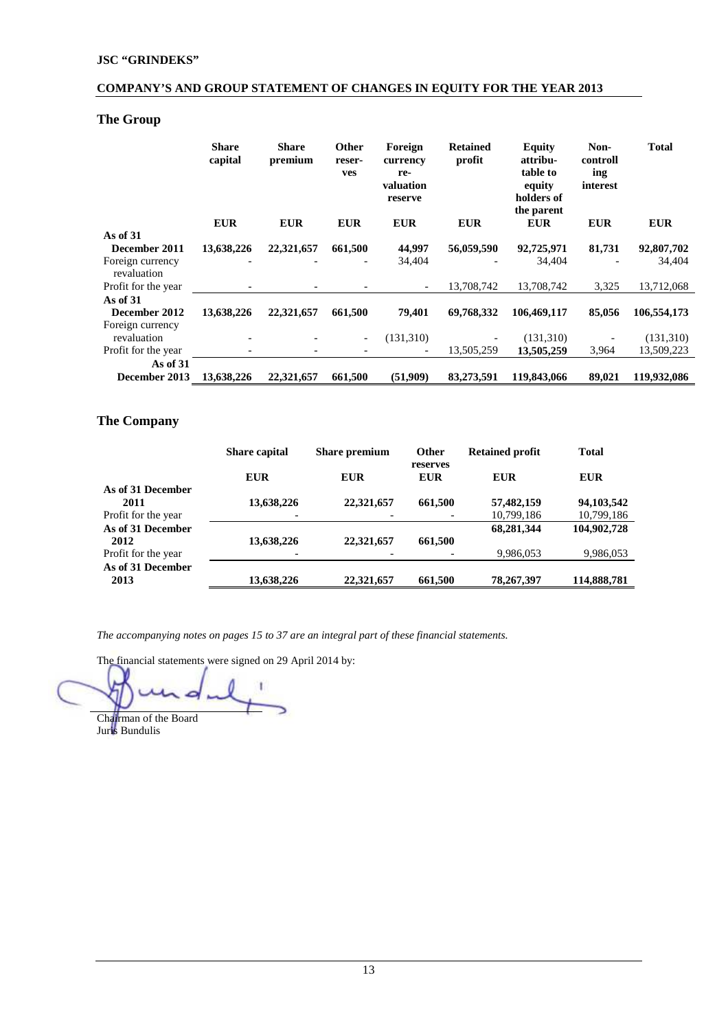# **COMPANY'S AND GROUP STATEMENT OF CHANGES IN EQUITY FOR THE YEAR 2013**

# **The Group**

|                                 | <b>Share</b><br>capital | <b>Share</b><br>premium | <b>Other</b><br>reser-<br>ves | Foreign<br>currency<br>re-<br>valuation<br>reserve | <b>Retained</b><br>profit | <b>Equity</b><br>attribu-<br>table to<br>equity<br>holders of<br>the parent | Non-<br>controll<br>ing<br>interest | <b>Total</b> |
|---------------------------------|-------------------------|-------------------------|-------------------------------|----------------------------------------------------|---------------------------|-----------------------------------------------------------------------------|-------------------------------------|--------------|
|                                 | <b>EUR</b>              | <b>EUR</b>              | <b>EUR</b>                    | <b>EUR</b>                                         | <b>EUR</b>                | <b>EUR</b>                                                                  | <b>EUR</b>                          | <b>EUR</b>   |
| As of $31$                      |                         |                         |                               |                                                    |                           |                                                                             |                                     |              |
| December 2011                   | 13,638,226              | 22,321,657              | 661,500                       | 44,997                                             | 56,059,590                | 92,725,971                                                                  | 81,731                              | 92,807,702   |
| Foreign currency<br>revaluation |                         |                         |                               | 34,404                                             |                           | 34,404                                                                      |                                     | 34,404       |
| Profit for the year             |                         |                         |                               | $\overline{\phantom{a}}$                           | 13,708,742                | 13,708,742                                                                  | 3,325                               | 13,712,068   |
| As of $31$                      |                         |                         |                               |                                                    |                           |                                                                             |                                     |              |
| December 2012                   | 13,638,226              | 22,321,657              | 661,500                       | 79,401                                             | 69,768,332                | 106,469,117                                                                 | 85,056                              | 106,554,173  |
| Foreign currency                |                         |                         |                               |                                                    |                           |                                                                             |                                     |              |
| revaluation                     |                         |                         | $\overline{\phantom{a}}$      | (131,310)                                          |                           | (131,310)                                                                   |                                     | (131,310)    |
| Profit for the year             |                         |                         |                               |                                                    | 13,505,259                | 13,505,259                                                                  | 3,964                               | 13,509,223   |
| As of $31$                      |                         |                         |                               |                                                    |                           |                                                                             |                                     |              |
| December 2013                   | 13,638,226              | 22,321,657              | 661,500                       | (51,909)                                           | 83,273,591                | 119,843,066                                                                 | 89,021                              | 119,932,086  |

# **The Company**

|                     | <b>Share capital</b> | <b>Share premium</b> | <b>Other</b>           | <b>Retained profit</b> | <b>Total</b> |
|---------------------|----------------------|----------------------|------------------------|------------------------|--------------|
|                     | <b>EUR</b>           | <b>EUR</b>           | reserves<br><b>EUR</b> | <b>EUR</b>             | EUR          |
| As of 31 December   |                      |                      |                        |                        |              |
| 2011                | 13,638,226           | 22,321,657           | 661,500                | 57,482,159             | 94, 103, 542 |
| Profit for the year |                      |                      |                        | 10,799,186             | 10,799,186   |
| As of 31 December   |                      |                      |                        | 68,281,344             | 104,902,728  |
| 2012                | 13,638,226           | 22,321,657           | 661,500                |                        |              |
| Profit for the year |                      |                      |                        | 9,986,053              | 9,986,053    |
| As of 31 December   |                      |                      |                        |                        |              |
| 2013                | 13,638,226           | 22,321,657           | 661,500                | 78,267,397             | 114,888,781  |

*The accompanying notes on pages 15 to 37 are an integral part of these financial statements.* 

 Chairman of the Board

Juris Bundulis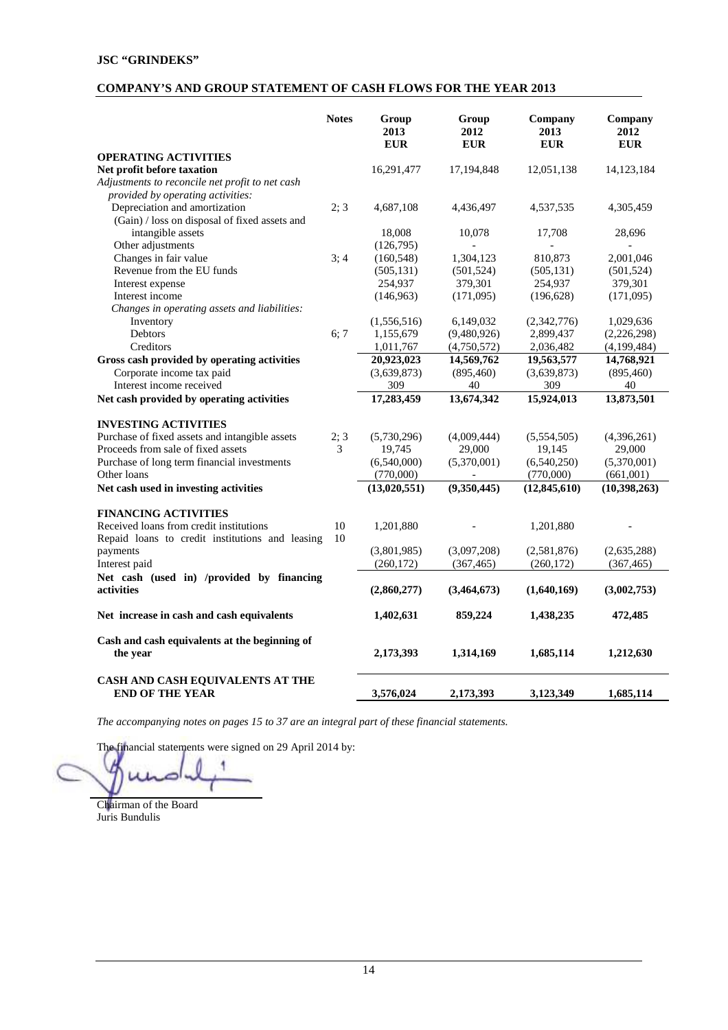# **COMPANY'S AND GROUP STATEMENT OF CASH FLOWS FOR THE YEAR 2013**

| <b>OPERATING ACTIVITIES</b>                                                                | <b>Notes</b> | Group<br>2013<br><b>EUR</b> | Group<br>2012<br><b>EUR</b> | Company<br>2013<br><b>EUR</b> | Company<br>2012<br><b>EUR</b> |
|--------------------------------------------------------------------------------------------|--------------|-----------------------------|-----------------------------|-------------------------------|-------------------------------|
| Net profit before taxation                                                                 |              | 16,291,477                  | 17,194,848                  | 12,051,138                    | 14, 123, 184                  |
| Adjustments to reconcile net profit to net cash                                            |              |                             |                             |                               |                               |
| provided by operating activities:                                                          |              |                             |                             |                               |                               |
| Depreciation and amortization                                                              | 2:3          | 4,687,108                   | 4,436,497                   | 4,537,535                     | 4,305,459                     |
| (Gain) / loss on disposal of fixed assets and                                              |              |                             |                             |                               |                               |
| intangible assets                                                                          |              | 18,008                      | 10,078                      | 17,708                        | 28,696                        |
| Other adjustments                                                                          |              | (126,795)                   |                             |                               |                               |
| Changes in fair value                                                                      | 3:4          | (160, 548)                  | 1,304,123                   | 810,873                       | 2,001,046                     |
| Revenue from the EU funds                                                                  |              | (505, 131)                  | (501, 524)                  | (505, 131)                    | (501, 524)                    |
| Interest expense                                                                           |              | 254,937                     | 379,301                     | 254,937                       | 379,301                       |
| Interest income                                                                            |              | (146, 963)                  | (171,095)                   | (196, 628)                    | (171,095)                     |
| Changes in operating assets and liabilities:                                               |              |                             |                             |                               |                               |
| Inventory                                                                                  |              | (1,556,516)                 | 6,149,032                   | (2,342,776)                   | 1,029,636                     |
| Debtors                                                                                    | 6; 7         | 1,155,679                   | (9,480,926)                 | 2,899,437                     | (2,226,298)                   |
| Creditors                                                                                  |              | 1,011,767                   | (4,750,572)                 | 2,036,482                     | (4,199,484)                   |
| Gross cash provided by operating activities                                                |              | 20,923,023                  | 14,569,762                  | 19,563,577                    | 14,768,921                    |
| Corporate income tax paid                                                                  |              | (3,639,873)                 | (895, 460)                  | (3,639,873)                   | (895, 460)                    |
| Interest income received                                                                   |              | 309                         | 40                          | 309                           | 40                            |
| Net cash provided by operating activities                                                  |              | 17,283,459                  | 13,674,342                  | 15,924,013                    | 13,873,501                    |
| <b>INVESTING ACTIVITIES</b>                                                                |              |                             |                             |                               |                               |
| Purchase of fixed assets and intangible assets                                             | 2; 3         | (5,730,296)                 | (4,009,444)                 | (5,554,505)                   | (4,396,261)                   |
| Proceeds from sale of fixed assets                                                         | 3            | 19,745                      | 29,000                      | 19,145                        | 29,000                        |
| Purchase of long term financial investments                                                |              | (6,540,000)                 | (5,370,001)                 | (6,540,250)                   | (5,370,001)                   |
| Other loans                                                                                |              | (770,000)                   | $\blacksquare$              | (770,000)                     | (661,001)                     |
| Net cash used in investing activities                                                      |              | (13,020,551)                | (9,350,445)                 | (12, 845, 610)                | (10, 398, 263)                |
| <b>FINANCING ACTIVITIES</b>                                                                |              |                             |                             |                               |                               |
| Received loans from credit institutions<br>Repaid loans to credit institutions and leasing | 10<br>10     | 1,201,880                   |                             | 1,201,880                     |                               |
| payments                                                                                   |              | (3,801,985)                 | (3,097,208)                 | (2,581,876)                   | (2,635,288)                   |
| Interest paid                                                                              |              | (260, 172)                  | (367, 465)                  | (260, 172)                    | (367, 465)                    |
| Net cash (used in) /provided by financing                                                  |              |                             |                             |                               |                               |
| activities                                                                                 |              | (2,860,277)                 | (3,464,673)                 | (1,640,169)                   | (3,002,753)                   |
| Net increase in cash and cash equivalents                                                  |              | 1,402,631                   | 859,224                     | 1,438,235                     | 472,485                       |
| Cash and cash equivalents at the beginning of<br>the year                                  |              | 2,173,393                   | 1,314,169                   | 1,685,114                     | 1,212,630                     |
| CASH AND CASH EQUIVALENTS AT THE<br><b>END OF THE YEAR</b>                                 |              | 3,576,024                   | 2,173,393                   | 3,123,349                     | 1,685,114                     |

*The accompanying notes on pages 15 to 37 are an integral part of these financial statements.* 

Chairman of the Board Juris Bundulis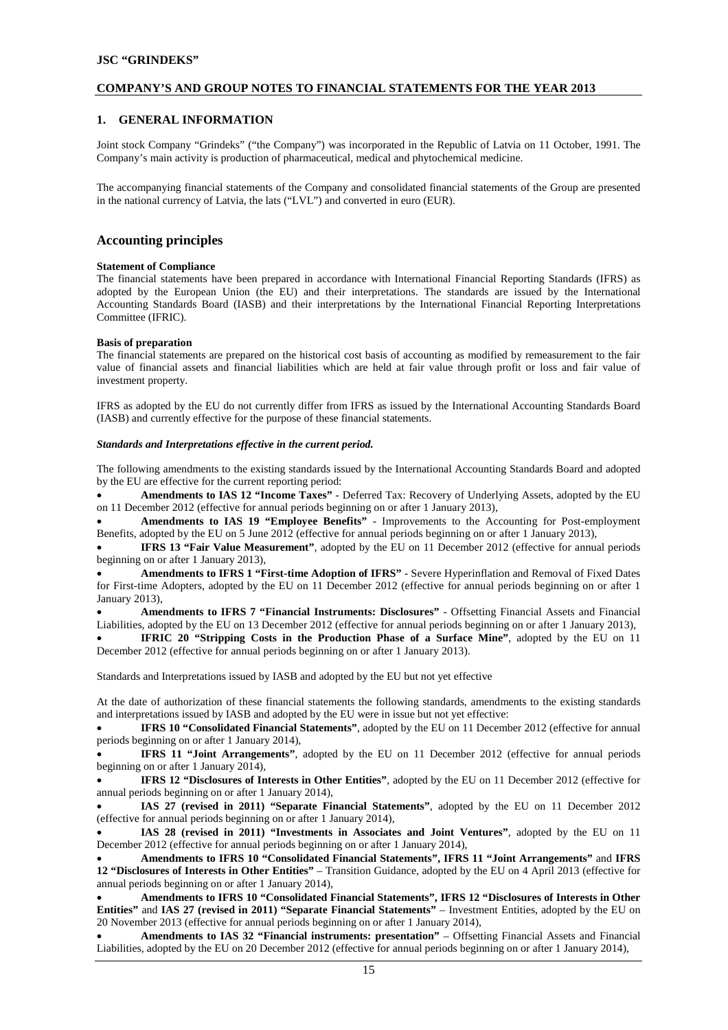## **COMPANY'S AND GROUP NOTES TO FINANCIAL STATEMENTS FOR THE YEAR 2013**

## **1. GENERAL INFORMATION**

Joint stock Company "Grindeks" ("the Company") was incorporated in the Republic of Latvia on 11 October, 1991. The Company's main activity is production of pharmaceutical, medical and phytochemical medicine.

The accompanying financial statements of the Company and consolidated financial statements of the Group are presented in the national currency of Latvia, the lats ("LVL") and converted in euro (EUR).

## **Accounting principles**

#### **Statement of Compliance**

The financial statements have been prepared in accordance with International Financial Reporting Standards (IFRS) as adopted by the European Union (the EU) and their interpretations. The standards are issued by the International Accounting Standards Board (IASB) and their interpretations by the International Financial Reporting Interpretations Committee (IFRIC).

#### **Basis of preparation**

The financial statements are prepared on the historical cost basis of accounting as modified by remeasurement to the fair value of financial assets and financial liabilities which are held at fair value through profit or loss and fair value of investment property.

IFRS as adopted by the EU do not currently differ from IFRS as issued by the International Accounting Standards Board (IASB) and currently effective for the purpose of these financial statements.

#### *Standards and Interpretations effective in the current period.*

The following amendments to the existing standards issued by the International Accounting Standards Board and adopted by the EU are effective for the current reporting period:

• **Amendments to IAS 12 "Income Taxes"** - Deferred Tax: Recovery of Underlying Assets, adopted by the EU on 11 December 2012 (effective for annual periods beginning on or after 1 January 2013),

• **Amendments to IAS 19 "Employee Benefits"** - Improvements to the Accounting for Post-employment Benefits, adopted by the EU on 5 June 2012 (effective for annual periods beginning on or after 1 January 2013),

• **IFRS 13 "Fair Value Measurement"**, adopted by the EU on 11 December 2012 (effective for annual periods beginning on or after 1 January 2013),

• **Amendments to IFRS 1 "First-time Adoption of IFRS"** - Severe Hyperinflation and Removal of Fixed Dates for First-time Adopters, adopted by the EU on 11 December 2012 (effective for annual periods beginning on or after 1 January 2013),

• **Amendments to IFRS 7 "Financial Instruments: Disclosures"** - Offsetting Financial Assets and Financial Liabilities, adopted by the EU on 13 December 2012 (effective for annual periods beginning on or after 1 January 2013),

• **IFRIC 20 "Stripping Costs in the Production Phase of a Surface Mine"**, adopted by the EU on 11 December 2012 (effective for annual periods beginning on or after 1 January 2013).

Standards and Interpretations issued by IASB and adopted by the EU but not yet effective

At the date of authorization of these financial statements the following standards, amendments to the existing standards and interpretations issued by IASB and adopted by the EU were in issue but not yet effective:

• **IFRS 10 "Consolidated Financial Statements"**, adopted by the EU on 11 December 2012 (effective for annual periods beginning on or after 1 January 2014),

• **IFRS 11 "Joint Arrangements"**, adopted by the EU on 11 December 2012 (effective for annual periods beginning on or after 1 January 2014),

• **IFRS 12 "Disclosures of Interests in Other Entities"**, adopted by the EU on 11 December 2012 (effective for annual periods beginning on or after 1 January 2014),

• **IAS 27 (revised in 2011) "Separate Financial Statements"**, adopted by the EU on 11 December 2012 (effective for annual periods beginning on or after 1 January 2014),

• **IAS 28 (revised in 2011) "Investments in Associates and Joint Ventures"**, adopted by the EU on 11 December 2012 (effective for annual periods beginning on or after 1 January 2014),

• **Amendments to IFRS 10 "Consolidated Financial Statements", IFRS 11 "Joint Arrangements"** and **IFRS 12 "Disclosures of Interests in Other Entities"** – Transition Guidance, adopted by the EU on 4 April 2013 (effective for annual periods beginning on or after 1 January 2014),

• **Amendments to IFRS 10 "Consolidated Financial Statements", IFRS 12 "Disclosures of Interests in Other Entities"** and **IAS 27 (revised in 2011) "Separate Financial Statements"** – Investment Entities, adopted by the EU on 20 November 2013 (effective for annual periods beginning on or after 1 January 2014),

• **Amendments to IAS 32 "Financial instruments: presentation"** – Offsetting Financial Assets and Financial Liabilities, adopted by the EU on 20 December 2012 (effective for annual periods beginning on or after 1 January 2014),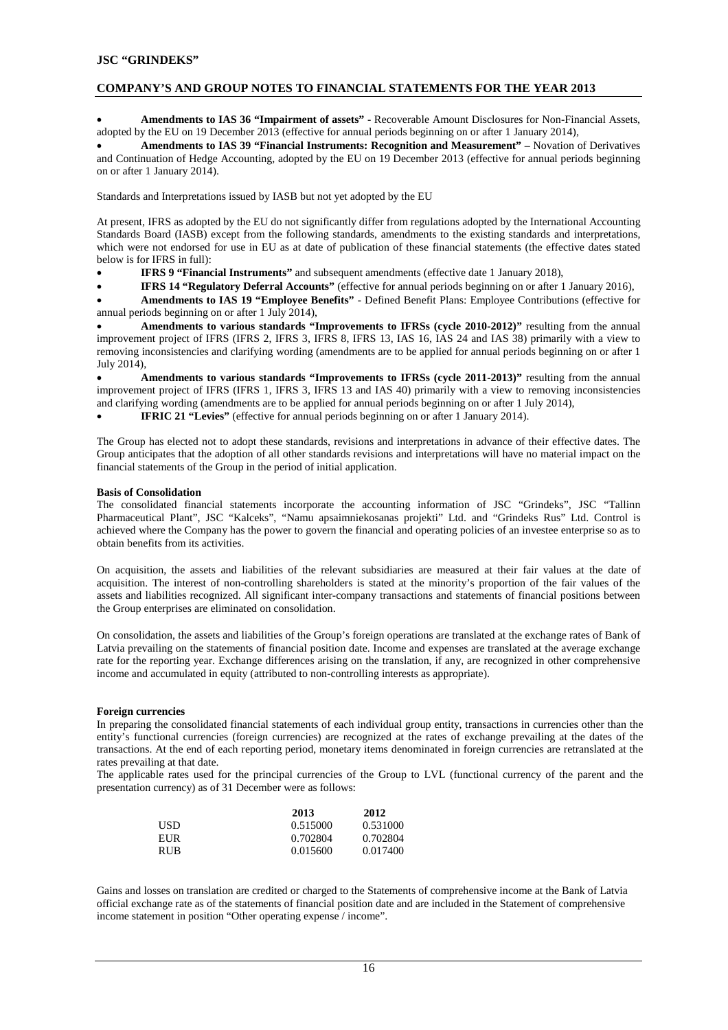## **COMPANY'S AND GROUP NOTES TO FINANCIAL STATEMENTS FOR THE YEAR 2013**

• **Amendments to IAS 36 "Impairment of assets"** - Recoverable Amount Disclosures for Non-Financial Assets, adopted by the EU on 19 December 2013 (effective for annual periods beginning on or after 1 January 2014),

• **Amendments to IAS 39 "Financial Instruments: Recognition and Measurement"** – Novation of Derivatives and Continuation of Hedge Accounting, adopted by the EU on 19 December 2013 (effective for annual periods beginning on or after 1 January 2014).

Standards and Interpretations issued by IASB but not yet adopted by the EU

At present, IFRS as adopted by the EU do not significantly differ from regulations adopted by the International Accounting Standards Board (IASB) except from the following standards, amendments to the existing standards and interpretations, which were not endorsed for use in EU as at date of publication of these financial statements (the effective dates stated below is for IFRS in full):

• **IFRS 9 "Financial Instruments"** and subsequent amendments (effective date 1 January 2018),

• **IFRS 14 "Regulatory Deferral Accounts"** (effective for annual periods beginning on or after 1 January 2016),

• **Amendments to IAS 19 "Employee Benefits"** - Defined Benefit Plans: Employee Contributions (effective for annual periods beginning on or after 1 July 2014),

• **Amendments to various standards "Improvements to IFRSs (cycle 2010-2012)"** resulting from the annual improvement project of IFRS (IFRS 2, IFRS 3, IFRS 8, IFRS 13, IAS 16, IAS 24 and IAS 38) primarily with a view to removing inconsistencies and clarifying wording (amendments are to be applied for annual periods beginning on or after 1 July 2014),

• **Amendments to various standards "Improvements to IFRSs (cycle 2011-2013)"** resulting from the annual improvement project of IFRS (IFRS 1, IFRS 3, IFRS 13 and IAS 40) primarily with a view to removing inconsistencies and clarifying wording (amendments are to be applied for annual periods beginning on or after 1 July 2014),

**IFRIC 21 "Levies"** (effective for annual periods beginning on or after 1 January 2014).

The Group has elected not to adopt these standards, revisions and interpretations in advance of their effective dates. The Group anticipates that the adoption of all other standards revisions and interpretations will have no material impact on the financial statements of the Group in the period of initial application.

#### **Basis of Consolidation**

The consolidated financial statements incorporate the accounting information of JSC "Grindeks", JSC "Tallinn Pharmaceutical Plant", JSC "Kalceks", "Namu apsaimniekosanas projekti" Ltd. and "Grindeks Rus" Ltd. Control is achieved where the Company has the power to govern the financial and operating policies of an investee enterprise so as to obtain benefits from its activities.

On acquisition, the assets and liabilities of the relevant subsidiaries are measured at their fair values at the date of acquisition. The interest of non-controlling shareholders is stated at the minority's proportion of the fair values of the assets and liabilities recognized. All significant inter-company transactions and statements of financial positions between the Group enterprises are eliminated on consolidation.

On consolidation, the assets and liabilities of the Group's foreign operations are translated at the exchange rates of Bank of Latvia prevailing on the statements of financial position date. Income and expenses are translated at the average exchange rate for the reporting year. Exchange differences arising on the translation, if any, are recognized in other comprehensive income and accumulated in equity (attributed to non-controlling interests as appropriate).

#### **Foreign currencies**

In preparing the consolidated financial statements of each individual group entity, transactions in currencies other than the entity's functional currencies (foreign currencies) are recognized at the rates of exchange prevailing at the dates of the transactions. At the end of each reporting period, monetary items denominated in foreign currencies are retranslated at the rates prevailing at that date.

The applicable rates used for the principal currencies of the Group to LVL (functional currency of the parent and the presentation currency) as of 31 December were as follows:

|            | 2013     | 2012     |
|------------|----------|----------|
| USD.       | 0.515000 | 0.531000 |
| EUR        | 0.702804 | 0.702804 |
| <b>RUB</b> | 0.015600 | 0.017400 |

Gains and losses on translation are credited or charged to the Statements of comprehensive income at the Bank of Latvia official exchange rate as of the statements of financial position date and are included in the Statement of comprehensive income statement in position "Other operating expense / income".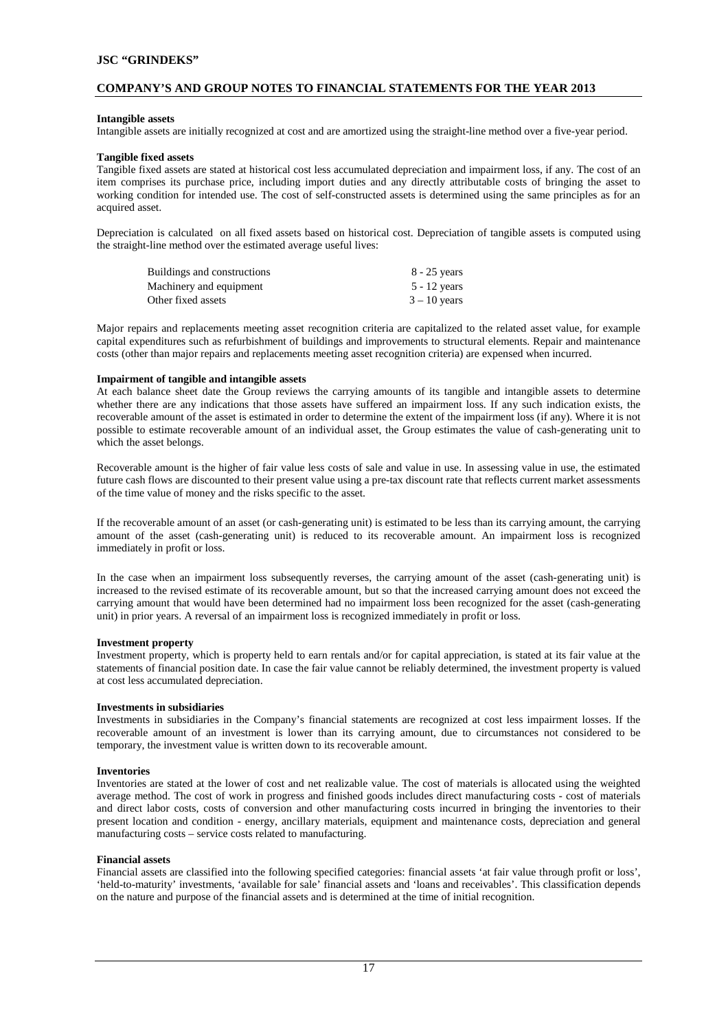## **COMPANY'S AND GROUP NOTES TO FINANCIAL STATEMENTS FOR THE YEAR 2013**

#### **Intangible assets**

Intangible assets are initially recognized at cost and are amortized using the straight-line method over a five-year period.

#### **Tangible fixed assets**

Tangible fixed assets are stated at historical cost less accumulated depreciation and impairment loss, if any. The cost of an item comprises its purchase price, including import duties and any directly attributable costs of bringing the asset to working condition for intended use. The cost of self-constructed assets is determined using the same principles as for an acquired asset.

Depreciation is calculated on all fixed assets based on historical cost. Depreciation of tangible assets is computed using the straight-line method over the estimated average useful lives:

| Buildings and constructions | $8 - 25$ years |
|-----------------------------|----------------|
| Machinery and equipment     | $5 - 12$ years |
| Other fixed assets          | $3 - 10$ years |

Major repairs and replacements meeting asset recognition criteria are capitalized to the related asset value, for example capital expenditures such as refurbishment of buildings and improvements to structural elements. Repair and maintenance costs (other than major repairs and replacements meeting asset recognition criteria) are expensed when incurred.

#### **Impairment of tangible and intangible assets**

At each balance sheet date the Group reviews the carrying amounts of its tangible and intangible assets to determine whether there are any indications that those assets have suffered an impairment loss. If any such indication exists, the recoverable amount of the asset is estimated in order to determine the extent of the impairment loss (if any). Where it is not possible to estimate recoverable amount of an individual asset, the Group estimates the value of cash-generating unit to which the asset belongs.

Recoverable amount is the higher of fair value less costs of sale and value in use. In assessing value in use, the estimated future cash flows are discounted to their present value using a pre-tax discount rate that reflects current market assessments of the time value of money and the risks specific to the asset.

If the recoverable amount of an asset (or cash-generating unit) is estimated to be less than its carrying amount, the carrying amount of the asset (cash-generating unit) is reduced to its recoverable amount. An impairment loss is recognized immediately in profit or loss.

In the case when an impairment loss subsequently reverses, the carrying amount of the asset (cash-generating unit) is increased to the revised estimate of its recoverable amount, but so that the increased carrying amount does not exceed the carrying amount that would have been determined had no impairment loss been recognized for the asset (cash-generating unit) in prior years. A reversal of an impairment loss is recognized immediately in profit or loss.

#### **Investment property**

Investment property, which is property held to earn rentals and/or for capital appreciation, is stated at its fair value at the statements of financial position date. In case the fair value cannot be reliably determined, the investment property is valued at cost less accumulated depreciation.

#### **Investments in subsidiaries**

Investments in subsidiaries in the Company's financial statements are recognized at cost less impairment losses. If the recoverable amount of an investment is lower than its carrying amount, due to circumstances not considered to be temporary, the investment value is written down to its recoverable amount.

#### **Inventories**

Inventories are stated at the lower of cost and net realizable value. The cost of materials is allocated using the weighted average method. The cost of work in progress and finished goods includes direct manufacturing costs - cost of materials and direct labor costs, costs of conversion and other manufacturing costs incurred in bringing the inventories to their present location and condition - energy, ancillary materials, equipment and maintenance costs, depreciation and general manufacturing costs – service costs related to manufacturing.

#### **Financial assets**

Financial assets are classified into the following specified categories: financial assets 'at fair value through profit or loss', 'held-to-maturity' investments, 'available for sale' financial assets and 'loans and receivables'. This classification depends on the nature and purpose of the financial assets and is determined at the time of initial recognition.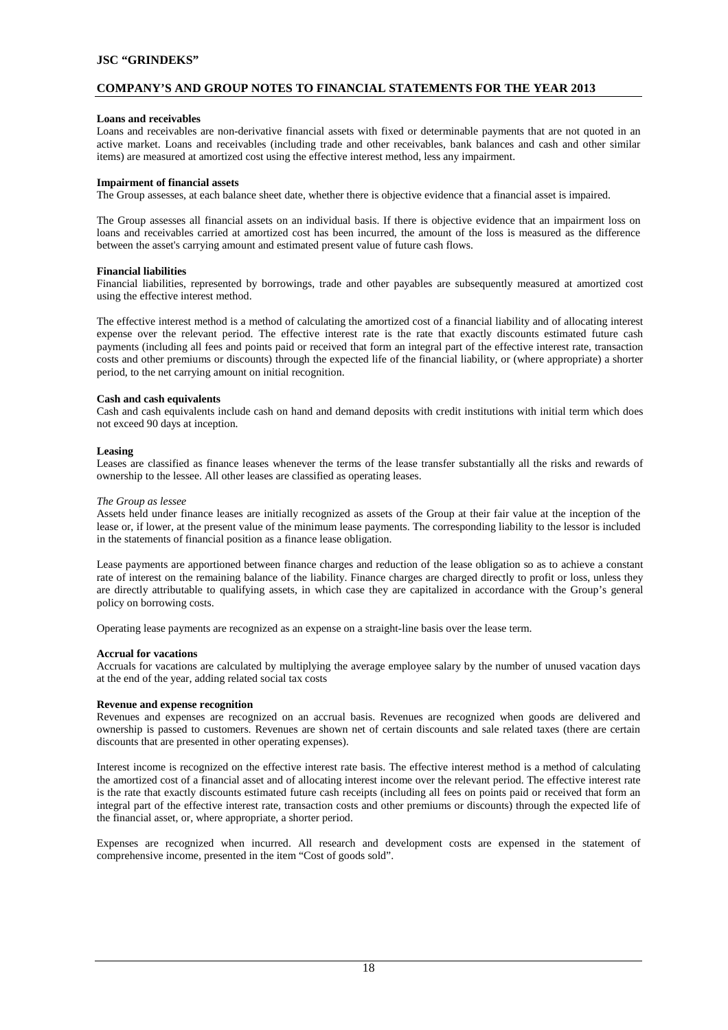## **COMPANY'S AND GROUP NOTES TO FINANCIAL STATEMENTS FOR THE YEAR 2013**

#### **Loans and receivables**

Loans and receivables are non-derivative financial assets with fixed or determinable payments that are not quoted in an active market. Loans and receivables (including trade and other receivables, bank balances and cash and other similar items) are measured at amortized cost using the effective interest method, less any impairment.

#### **Impairment of financial assets**

The Group assesses, at each balance sheet date, whether there is objective evidence that a financial asset is impaired.

The Group assesses all financial assets on an individual basis. If there is objective evidence that an impairment loss on loans and receivables carried at amortized cost has been incurred, the amount of the loss is measured as the difference between the asset's carrying amount and estimated present value of future cash flows.

#### **Financial liabilities**

Financial liabilities, represented by borrowings, trade and other payables are subsequently measured at amortized cost using the effective interest method.

The effective interest method is a method of calculating the amortized cost of a financial liability and of allocating interest expense over the relevant period. The effective interest rate is the rate that exactly discounts estimated future cash payments (including all fees and points paid or received that form an integral part of the effective interest rate, transaction costs and other premiums or discounts) through the expected life of the financial liability, or (where appropriate) a shorter period, to the net carrying amount on initial recognition.

#### **Cash and cash equivalents**

Cash and cash equivalents include cash on hand and demand deposits with credit institutions with initial term which does not exceed 90 days at inception.

#### **Leasing**

Leases are classified as finance leases whenever the terms of the lease transfer substantially all the risks and rewards of ownership to the lessee. All other leases are classified as operating leases.

#### *The Group as lessee*

Assets held under finance leases are initially recognized as assets of the Group at their fair value at the inception of the lease or, if lower, at the present value of the minimum lease payments. The corresponding liability to the lessor is included in the statements of financial position as a finance lease obligation.

Lease payments are apportioned between finance charges and reduction of the lease obligation so as to achieve a constant rate of interest on the remaining balance of the liability. Finance charges are charged directly to profit or loss, unless they are directly attributable to qualifying assets, in which case they are capitalized in accordance with the Group's general policy on borrowing costs.

Operating lease payments are recognized as an expense on a straight-line basis over the lease term.

#### **Accrual for vacations**

Accruals for vacations are calculated by multiplying the average employee salary by the number of unused vacation days at the end of the year, adding related social tax costs

#### **Revenue and expense recognition**

Revenues and expenses are recognized on an accrual basis. Revenues are recognized when goods are delivered and ownership is passed to customers. Revenues are shown net of certain discounts and sale related taxes (there are certain discounts that are presented in other operating expenses).

Interest income is recognized on the effective interest rate basis. The effective interest method is a method of calculating the amortized cost of a financial asset and of allocating interest income over the relevant period. The effective interest rate is the rate that exactly discounts estimated future cash receipts (including all fees on points paid or received that form an integral part of the effective interest rate, transaction costs and other premiums or discounts) through the expected life of the financial asset, or, where appropriate, a shorter period.

Expenses are recognized when incurred. All research and development costs are expensed in the statement of comprehensive income, presented in the item "Cost of goods sold".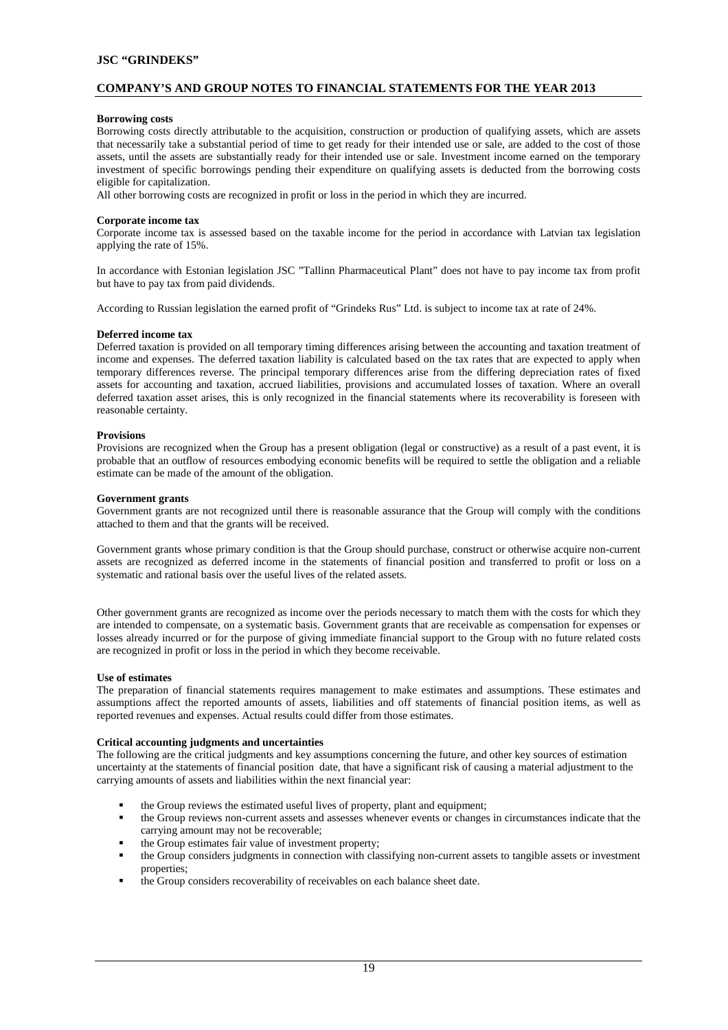## **COMPANY'S AND GROUP NOTES TO FINANCIAL STATEMENTS FOR THE YEAR 2013**

#### **Borrowing costs**

Borrowing costs directly attributable to the acquisition, construction or production of qualifying assets, which are assets that necessarily take a substantial period of time to get ready for their intended use or sale, are added to the cost of those assets, until the assets are substantially ready for their intended use or sale. Investment income earned on the temporary investment of specific borrowings pending their expenditure on qualifying assets is deducted from the borrowing costs eligible for capitalization.

All other borrowing costs are recognized in profit or loss in the period in which they are incurred.

#### **Corporate income tax**

Corporate income tax is assessed based on the taxable income for the period in accordance with Latvian tax legislation applying the rate of 15%.

In accordance with Estonian legislation JSC "Tallinn Pharmaceutical Plant" does not have to pay income tax from profit but have to pay tax from paid dividends.

According to Russian legislation the earned profit of "Grindeks Rus" Ltd. is subject to income tax at rate of 24%.

#### **Deferred income tax**

Deferred taxation is provided on all temporary timing differences arising between the accounting and taxation treatment of income and expenses. The deferred taxation liability is calculated based on the tax rates that are expected to apply when temporary differences reverse. The principal temporary differences arise from the differing depreciation rates of fixed assets for accounting and taxation, accrued liabilities, provisions and accumulated losses of taxation. Where an overall deferred taxation asset arises, this is only recognized in the financial statements where its recoverability is foreseen with reasonable certainty.

#### **Provisions**

Provisions are recognized when the Group has a present obligation (legal or constructive) as a result of a past event, it is probable that an outflow of resources embodying economic benefits will be required to settle the obligation and a reliable estimate can be made of the amount of the obligation.

#### **Government grants**

Government grants are not recognized until there is reasonable assurance that the Group will comply with the conditions attached to them and that the grants will be received.

Government grants whose primary condition is that the Group should purchase, construct or otherwise acquire non-current assets are recognized as deferred income in the statements of financial position and transferred to profit or loss on a systematic and rational basis over the useful lives of the related assets.

Other government grants are recognized as income over the periods necessary to match them with the costs for which they are intended to compensate, on a systematic basis. Government grants that are receivable as compensation for expenses or losses already incurred or for the purpose of giving immediate financial support to the Group with no future related costs are recognized in profit or loss in the period in which they become receivable.

#### **Use of estimates**

The preparation of financial statements requires management to make estimates and assumptions. These estimates and assumptions affect the reported amounts of assets, liabilities and off statements of financial position items, as well as reported revenues and expenses. Actual results could differ from those estimates.

#### **Critical accounting judgments and uncertainties**

The following are the critical judgments and key assumptions concerning the future, and other key sources of estimation uncertainty at the statements of financial position date, that have a significant risk of causing a material adjustment to the carrying amounts of assets and liabilities within the next financial year:

- the Group reviews the estimated useful lives of property, plant and equipment;
- the Group reviews non-current assets and assesses whenever events or changes in circumstances indicate that the carrying amount may not be recoverable;
- the Group estimates fair value of investment property;
- the Group considers judgments in connection with classifying non-current assets to tangible assets or investment properties;
- the Group considers recoverability of receivables on each balance sheet date.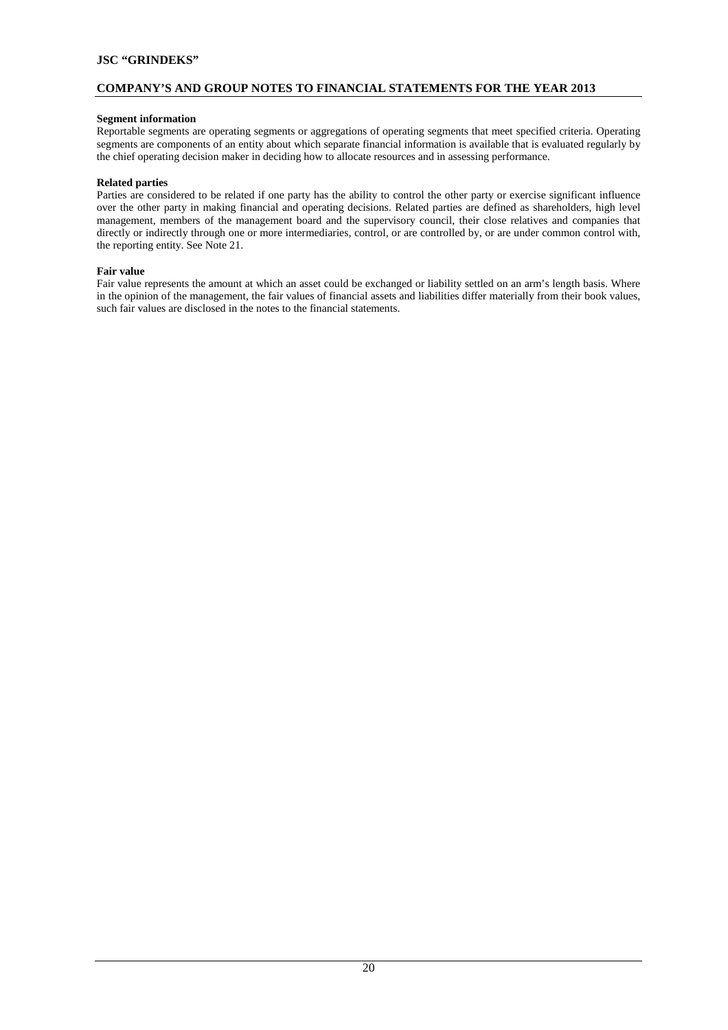# **COMPANY'S AND GROUP NOTES TO FINANCIAL STATEMENTS FOR THE YEAR 2013**

## **Segment information**

Reportable segments are operating segments or aggregations of operating segments that meet specified criteria. Operating segments are components of an entity about which separate financial information is available that is evaluated regularly by the chief operating decision maker in deciding how to allocate resources and in assessing performance.

## **Related parties**

Parties are considered to be related if one party has the ability to control the other party or exercise significant influence over the other party in making financial and operating decisions. Related parties are defined as shareholders, high level management, members of the management board and the supervisory council, their close relatives and companies that directly or indirectly through one or more intermediaries, control, or are controlled by, or are under common control with, the reporting entity. See Note 21.

#### **Fair value**

Fair value represents the amount at which an asset could be exchanged or liability settled on an arm's length basis. Where in the opinion of the management, the fair values of financial assets and liabilities differ materially from their book values, such fair values are disclosed in the notes to the financial statements.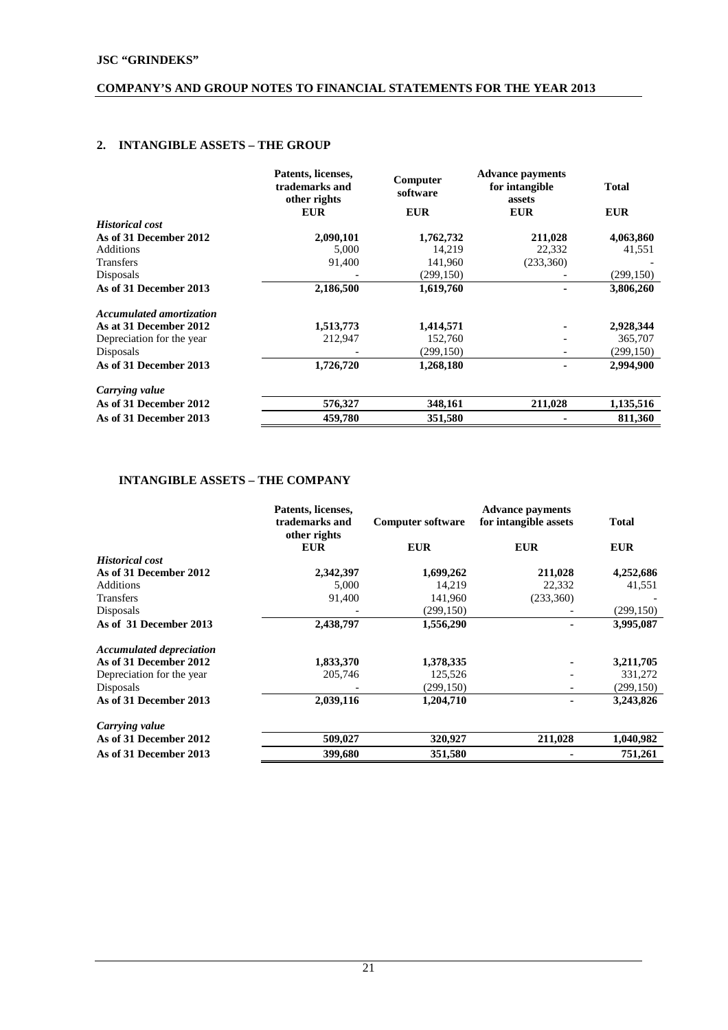# **2. INTANGIBLE ASSETS – THE GROUP**

|                                 | Patents, licenses,<br>trademarks and<br>other rights | Computer<br>software | <b>Advance payments</b><br>for intangible<br>assets | <b>Total</b> |
|---------------------------------|------------------------------------------------------|----------------------|-----------------------------------------------------|--------------|
|                                 | <b>EUR</b>                                           | <b>EUR</b>           | <b>EUR</b>                                          | <b>EUR</b>   |
| <b>Historical cost</b>          |                                                      |                      |                                                     |              |
| As of 31 December 2012          | 2,090,101                                            | 1,762,732            | 211,028                                             | 4,063,860    |
| <b>Additions</b>                | 5,000                                                | 14,219               | 22,332                                              | 41,551       |
| Transfers                       | 91,400                                               | 141,960              | (233,360)                                           |              |
| Disposals                       |                                                      | (299, 150)           |                                                     | (299, 150)   |
| As of 31 December 2013          | 2,186,500                                            | 1,619,760            |                                                     | 3,806,260    |
| <b>Accumulated amortization</b> |                                                      |                      |                                                     |              |
| As at 31 December 2012          | 1,513,773                                            | 1,414,571            |                                                     | 2,928,344    |
| Depreciation for the year       | 212,947                                              | 152,760              |                                                     | 365,707      |
| Disposals                       |                                                      | (299, 150)           |                                                     | (299, 150)   |
| As of 31 December 2013          | 1,726,720                                            | 1,268,180            |                                                     | 2,994,900    |
| Carrying value                  |                                                      |                      |                                                     |              |
| As of 31 December 2012          | 576,327                                              | 348,161              | 211,028                                             | 1,135,516    |
| As of 31 December 2013          | 459,780                                              | 351,580              |                                                     | 811,360      |

# **INTANGIBLE ASSETS – THE COMPANY**

|                                 | Patents, licenses,<br>trademarks and<br>other rights | <b>Computer software</b> | <b>Advance payments</b><br>for intangible assets | <b>Total</b> |
|---------------------------------|------------------------------------------------------|--------------------------|--------------------------------------------------|--------------|
|                                 | <b>EUR</b>                                           | <b>EUR</b>               | <b>EUR</b>                                       | <b>EUR</b>   |
| <b>Historical cost</b>          |                                                      |                          |                                                  |              |
| As of 31 December 2012          | 2,342,397                                            | 1,699,262                | 211,028                                          | 4,252,686    |
| Additions                       | 5,000                                                | 14.219                   | 22,332                                           | 41,551       |
| Transfers                       | 91,400                                               | 141,960                  | (233,360)                                        |              |
| Disposals                       |                                                      | (299, 150)               |                                                  | (299, 150)   |
| As of 31 December 2013          | 2,438,797                                            | 1,556,290                |                                                  | 3,995,087    |
| <b>Accumulated depreciation</b> |                                                      |                          |                                                  |              |
| As of 31 December 2012          | 1,833,370                                            | 1,378,335                |                                                  | 3,211,705    |
| Depreciation for the year       | 205,746                                              | 125,526                  |                                                  | 331,272      |
| Disposals                       |                                                      | (299, 150)               |                                                  | (299, 150)   |
| As of 31 December 2013          | 2,039,116                                            | 1,204,710                |                                                  | 3,243,826    |
| Carrying value                  |                                                      |                          |                                                  |              |
| As of 31 December 2012          | 509,027                                              | 320,927                  | 211,028                                          | 1,040,982    |
| As of 31 December 2013          | 399,680                                              | 351,580                  |                                                  | 751,261      |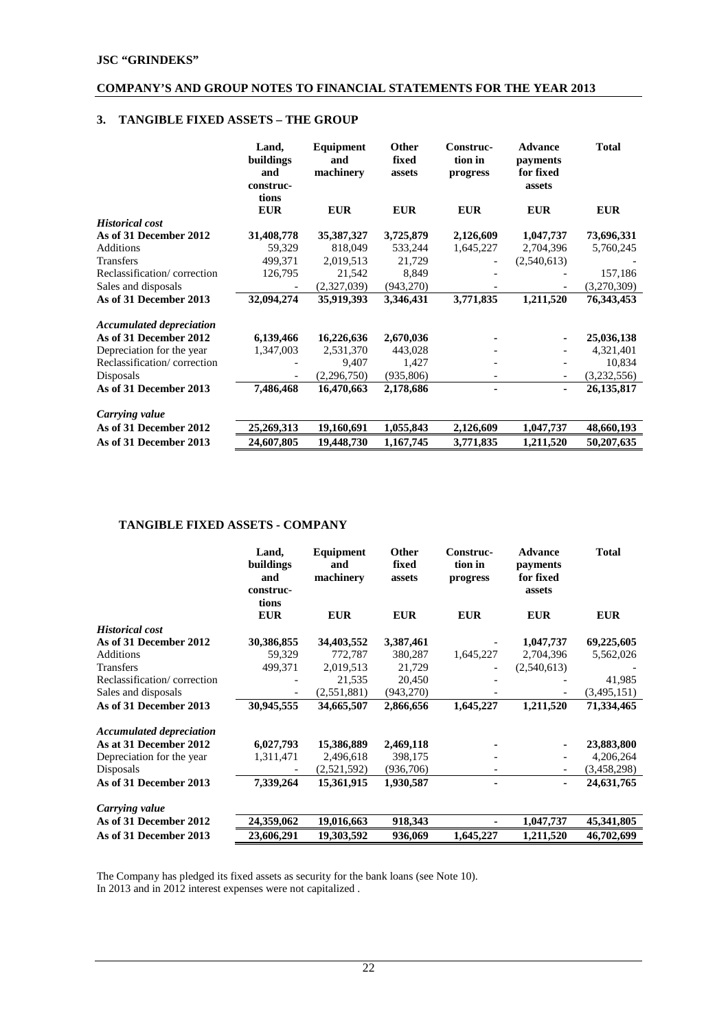# **3. TANGIBLE FIXED ASSETS – THE GROUP**

|                                 | Land,<br>buildings<br>and<br>construc-<br>tions | Equipment<br>and<br>machinery | <b>Other</b><br>fixed<br>assets | Construc-<br>tion in<br>progress | <b>Advance</b><br>payments<br>for fixed<br>assets | <b>Total</b> |
|---------------------------------|-------------------------------------------------|-------------------------------|---------------------------------|----------------------------------|---------------------------------------------------|--------------|
|                                 | <b>EUR</b>                                      | <b>EUR</b>                    | <b>EUR</b>                      | <b>EUR</b>                       | <b>EUR</b>                                        | <b>EUR</b>   |
| <b>Historical cost</b>          |                                                 |                               |                                 |                                  |                                                   |              |
| As of 31 December 2012          | 31,408,778                                      | 35,387,327                    | 3,725,879                       | 2,126,609                        | 1,047,737                                         | 73,696,331   |
| Additions                       | 59,329                                          | 818,049                       | 533,244                         | 1,645,227                        | 2,704,396                                         | 5,760,245    |
| <b>Transfers</b>                | 499,371                                         | 2,019,513                     | 21,729                          |                                  | (2,540,613)                                       |              |
| Reclassification/correction     | 126,795                                         | 21,542                        | 8,849                           |                                  |                                                   | 157,186      |
| Sales and disposals             |                                                 | (2,327,039)                   | (943,270)                       |                                  |                                                   | (3,270,309)  |
| As of 31 December 2013          | 32,094,274                                      | 35,919,393                    | 3,346,431                       | 3,771,835                        | 1,211,520                                         | 76,343,453   |
| <b>Accumulated depreciation</b> |                                                 |                               |                                 |                                  |                                                   |              |
| As of 31 December 2012          | 6,139,466                                       | 16,226,636                    | 2,670,036                       |                                  |                                                   | 25,036,138   |
| Depreciation for the year       | 1,347,003                                       | 2,531,370                     | 443,028                         |                                  |                                                   | 4,321,401    |
| Reclassification/correction     |                                                 | 9,407                         | 1,427                           |                                  |                                                   | 10,834       |
| Disposals                       |                                                 | (2,296,750)                   | (935, 806)                      |                                  | $\overline{\phantom{a}}$                          | (3,232,556)  |
| As of 31 December 2013          | 7,486,468                                       | 16,470,663                    | 2,178,686                       | ۰                                | ۰.                                                | 26, 135, 817 |
| Carrying value                  |                                                 |                               |                                 |                                  |                                                   |              |
| As of 31 December 2012          | 25,269,313                                      | 19,160,691                    | 1,055,843                       | 2,126,609                        | 1,047,737                                         | 48,660,193   |
| As of 31 December 2013          | 24,607,805                                      | 19,448,730                    | 1,167,745                       | 3,771,835                        | 1,211,520                                         | 50,207,635   |

# **TANGIBLE FIXED ASSETS - COMPANY**

|                                 | Land,<br>buildings<br>and<br>construc-<br>tions | Equipment<br>and<br>machinery | Other<br>fixed<br>assets | Construc-<br>tion in<br>progress | <b>Advance</b><br>payments<br>for fixed<br>assets | <b>Total</b> |
|---------------------------------|-------------------------------------------------|-------------------------------|--------------------------|----------------------------------|---------------------------------------------------|--------------|
|                                 | <b>EUR</b>                                      | <b>EUR</b>                    | <b>EUR</b>               | <b>EUR</b>                       | <b>EUR</b>                                        | <b>EUR</b>   |
| <b>Historical cost</b>          |                                                 |                               |                          |                                  |                                                   |              |
| As of 31 December 2012          | 30,386,855                                      | 34,403,552                    | 3,387,461                |                                  | 1,047,737                                         | 69,225,605   |
| Additions                       | 59,329                                          | 772,787                       | 380,287                  | 1,645,227                        | 2,704,396                                         | 5,562,026    |
| <b>Transfers</b>                | 499,371                                         | 2,019,513                     | 21,729                   |                                  | (2,540,613)                                       |              |
| Reclassification/correction     |                                                 | 21,535                        | 20,450                   |                                  |                                                   | 41,985       |
| Sales and disposals             |                                                 | (2, 551, 881)                 | (943,270)                |                                  |                                                   | (3,495,151)  |
| As of 31 December 2013          | 30,945,555                                      | 34,665,507                    | 2,866,656                | 1,645,227                        | 1,211,520                                         | 71,334,465   |
| <b>Accumulated depreciation</b> |                                                 |                               |                          |                                  |                                                   |              |
| As at 31 December 2012          | 6,027,793                                       | 15,386,889                    | 2,469,118                |                                  |                                                   | 23,883,800   |
| Depreciation for the year       | 1,311,471                                       | 2,496,618                     | 398,175                  |                                  |                                                   | 4,206,264    |
| Disposals                       |                                                 | (2,521,592)                   | (936,706)                |                                  |                                                   | (3,458,298)  |
| As of 31 December 2013          | 7,339,264                                       | 15,361,915                    | 1,930,587                |                                  | ٠                                                 | 24,631,765   |
| Carrying value                  |                                                 |                               |                          |                                  |                                                   |              |
| As of 31 December 2012          | 24,359,062                                      | 19,016,663                    | 918,343                  |                                  | 1,047,737                                         | 45,341,805   |
| As of 31 December 2013          | 23,606,291                                      | 19,303,592                    | 936,069                  | 1,645,227                        | 1,211,520                                         | 46,702,699   |

The Company has pledged its fixed assets as security for the bank loans (see Note 10). In 2013 and in 2012 interest expenses were not capitalized .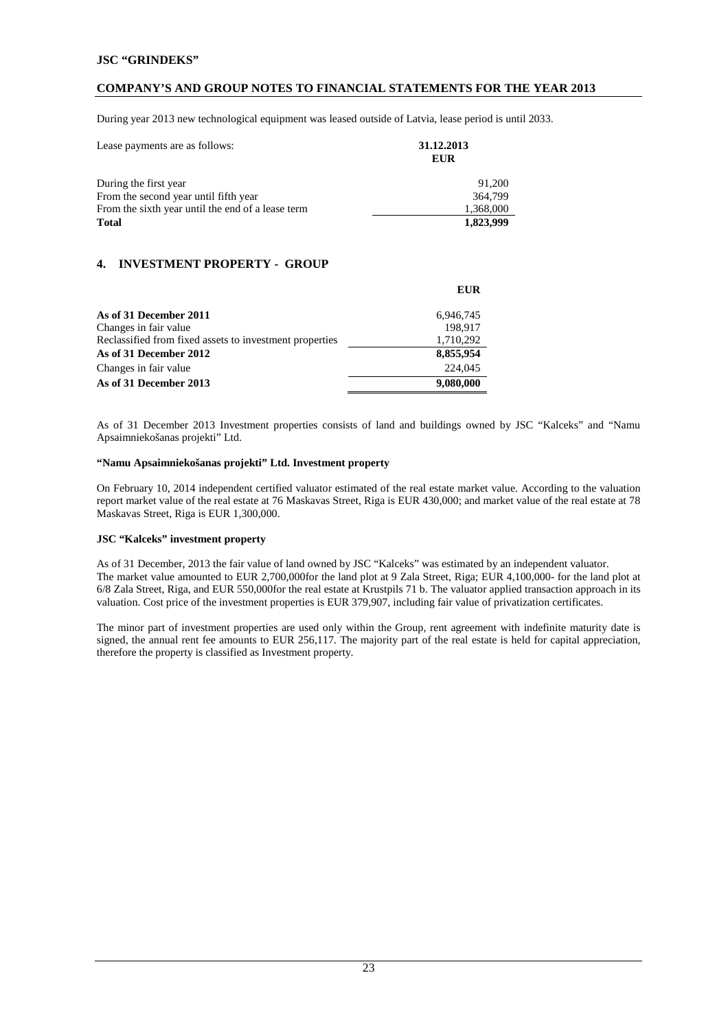## **COMPANY'S AND GROUP NOTES TO FINANCIAL STATEMENTS FOR THE YEAR 2013**

During year 2013 new technological equipment was leased outside of Latvia, lease period is until 2033.

| Lease payments are as follows:                    | 31.12.2013<br><b>EUR</b> |  |
|---------------------------------------------------|--------------------------|--|
| During the first year                             | 91.200                   |  |
| From the second year until fifth year             | 364,799                  |  |
| From the sixth year until the end of a lease term | 1,368,000                |  |
| <b>Total</b>                                      | 1,823,999                |  |

# **4. INVESTMENT PROPERTY - GROUP**

|                                                         | <b>EUR</b> |
|---------------------------------------------------------|------------|
| As of 31 December 2011                                  | 6,946,745  |
| Changes in fair value                                   | 198,917    |
| Reclassified from fixed assets to investment properties | 1,710,292  |
| As of 31 December 2012                                  | 8,855,954  |
| Changes in fair value                                   | 224,045    |
| As of 31 December 2013                                  | 9,080,000  |

As of 31 December 2013 Investment properties consists of land and buildings owned by JSC "Kalceks" and "Namu Apsaimniekošanas projekti" Ltd.

#### **"Namu Apsaimniekošanas projekti" Ltd. Investment property**

On February 10, 2014 independent certified valuator estimated of the real estate market value. According to the valuation report market value of the real estate at 76 Maskavas Street, Riga is EUR 430,000; and market value of the real estate at 78 Maskavas Street, Riga is EUR 1,300,000.

#### **JSC "Kalceks" investment property**

As of 31 December, 2013 the fair value of land owned by JSC "Kalceks" was estimated by an independent valuator. The market value amounted to EUR 2,700,000for the land plot at 9 Zala Street, Riga; EUR 4,100,000- for the land plot at 6/8 Zala Street, Riga, and EUR 550,000for the real estate at Krustpils 71 b. The valuator applied transaction approach in its valuation. Cost price of the investment properties is EUR 379,907, including fair value of privatization certificates.

The minor part of investment properties are used only within the Group, rent agreement with indefinite maturity date is signed, the annual rent fee amounts to EUR 256,117. The majority part of the real estate is held for capital appreciation, therefore the property is classified as Investment property.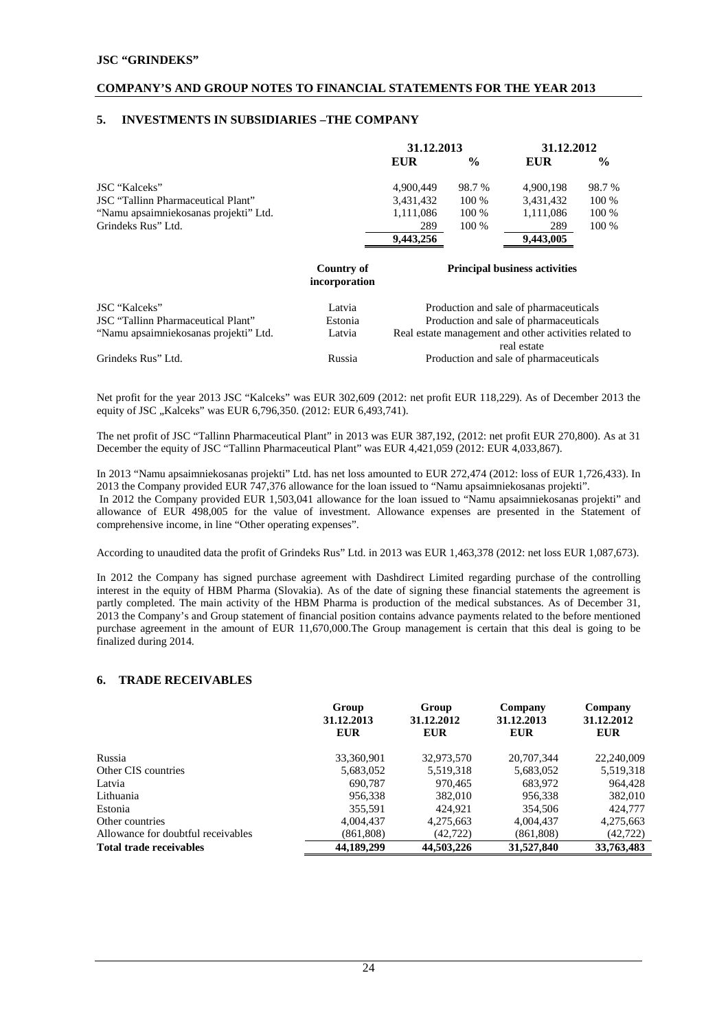## **5. INVESTMENTS IN SUBSIDIARIES –THE COMPANY**

|                                       | 31.12.2013 |               | 31.12.2012 |               |
|---------------------------------------|------------|---------------|------------|---------------|
|                                       | <b>EUR</b> | $\frac{6}{9}$ | EUR        | $\frac{0}{0}$ |
| JSC "Kalceks"                         | 4.900.449  | 98.7 %        | 4.900.198  | 98.7 %        |
| JSC "Tallinn Pharmaceutical Plant"    | 3,431,432  | 100 %         | 3,431,432  | 100 %         |
| "Namu apsaimniekosanas projekti" Ltd. | 1,111,086  | 100 %         | 1,111,086  | 100 %         |
| Grindeks Rus" Ltd.                    | 289        | 100 %         | 289        | 100 %         |
|                                       | 9,443,256  |               | 9,443,005  |               |

#### **Country of incorporation**

#### **Principal business activities**

| corporation |  |
|-------------|--|
|-------------|--|

| JSC "Kalceks"<br>JSC "Tallinn Pharmaceutical Plant" | Latvia<br>Estonia | Production and sale of pharmaceuticals<br>Production and sale of pharmaceuticals |
|-----------------------------------------------------|-------------------|----------------------------------------------------------------------------------|
| "Namu apsaimniekosanas projekti" Ltd.               | Latvia            | Real estate management and other activities related to<br>real estate            |
| Grindeks Rus" Ltd.                                  | Russia            | Production and sale of pharmaceuticals                                           |

Net profit for the year 2013 JSC "Kalceks" was EUR 302,609 (2012: net profit EUR 118,229). As of December 2013 the equity of JSC "Kalceks" was EUR 6,796,350. (2012: EUR 6,493,741).

The net profit of JSC "Tallinn Pharmaceutical Plant" in 2013 was EUR 387,192, (2012: net profit EUR 270,800). As at 31 December the equity of JSC "Tallinn Pharmaceutical Plant" was EUR 4,421,059 (2012: EUR 4,033,867).

In 2013 "Namu apsaimniekosanas projekti" Ltd. has net loss amounted to EUR 272,474 (2012: loss of EUR 1,726,433). In 2013 the Company provided EUR 747,376 allowance for the loan issued to "Namu apsaimniekosanas projekti". In 2012 the Company provided EUR 1,503,041 allowance for the loan issued to "Namu apsaimniekosanas projekti" and allowance of EUR 498,005 for the value of investment. Allowance expenses are presented in the Statement of comprehensive income, in line "Other operating expenses".

According to unaudited data the profit of Grindeks Rus" Ltd. in 2013 was EUR 1,463,378 (2012: net loss EUR 1,087,673).

In 2012 the Company has signed purchase agreement with Dashdirect Limited regarding purchase of the controlling interest in the equity of HBM Pharma (Slovakia). As of the date of signing these financial statements the agreement is partly completed. The main activity of the HBM Pharma is production of the medical substances. As of December 31, 2013 the Company's and Group statement of financial position contains advance payments related to the before mentioned purchase agreement in the amount of EUR 11,670,000.The Group management is certain that this deal is going to be finalized during 2014.

#### **6. TRADE RECEIVABLES**

|                                    | Group                    | Group                    | Company                  | Company                  |
|------------------------------------|--------------------------|--------------------------|--------------------------|--------------------------|
|                                    | 31.12.2013<br><b>EUR</b> | 31.12.2012<br><b>EUR</b> | 31.12.2013<br><b>EUR</b> | 31.12.2012<br><b>EUR</b> |
|                                    |                          |                          |                          |                          |
| Russia                             | 33,360,901               | 32,973,570               | 20,707,344               | 22,240,009               |
| Other CIS countries                | 5,683,052                | 5,519,318                | 5,683,052                | 5,519,318                |
| Latvia                             | 690.787                  | 970.465                  | 683,972                  | 964.428                  |
| Lithuania                          | 956.338                  | 382,010                  | 956,338                  | 382,010                  |
| Estonia                            | 355,591                  | 424.921                  | 354,506                  | 424,777                  |
| Other countries                    | 4,004,437                | 4,275,663                | 4.004.437                | 4,275,663                |
| Allowance for doubtful receivables | (861,808)                | (42, 722)                | (861, 808)               | (42,722)                 |
| <b>Total trade receivables</b>     | 44,189,299               | 44,503,226               | 31,527,840               | 33,763,483               |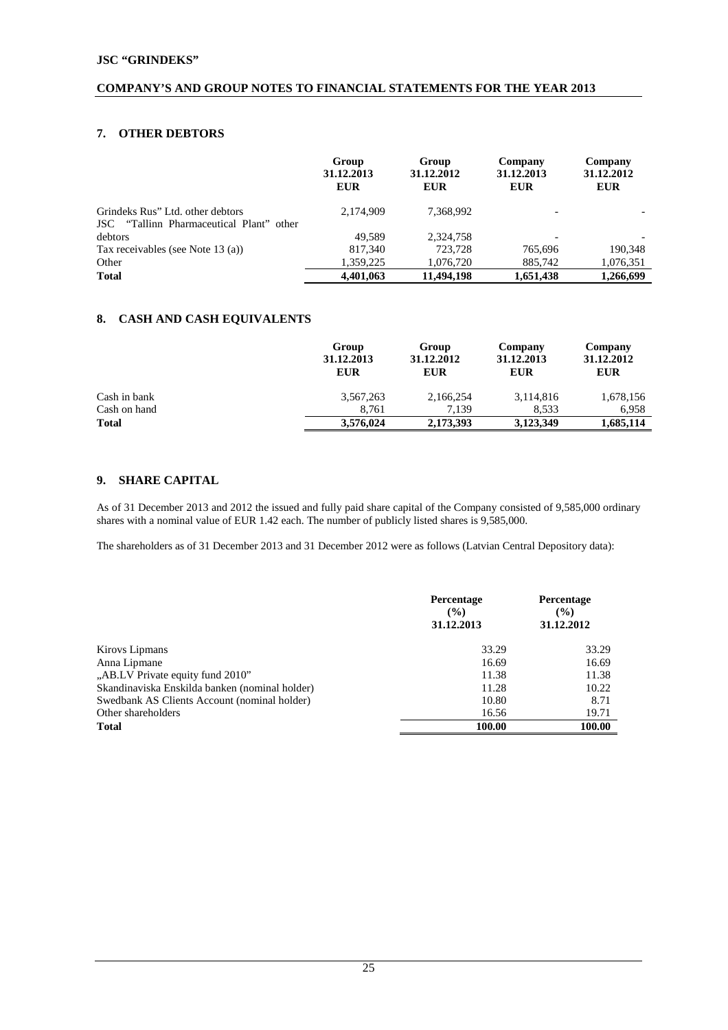# **7. OTHER DEBTORS**

|                                                                              | Group<br>31.12.2013<br><b>EUR</b> | Group<br>31.12.2012<br><b>EUR</b> | Company<br>31.12.2013<br><b>EUR</b> | Company<br>31.12.2012<br><b>EUR</b> |
|------------------------------------------------------------------------------|-----------------------------------|-----------------------------------|-------------------------------------|-------------------------------------|
| Grindeks Rus" Ltd. other debtors<br>JSC "Tallinn Pharmaceutical Plant" other | 2,174,909                         | 7,368,992                         |                                     |                                     |
| debtors                                                                      | 49.589                            | 2,324,758                         |                                     |                                     |
| Tax receivables (see Note 13 (a))                                            | 817,340                           | 723,728                           | 765,696                             | 190.348                             |
| Other                                                                        | 1,359,225                         | 1,076,720                         | 885,742                             | 1,076,351                           |
| <b>Total</b>                                                                 | 4,401,063                         | 11,494,198                        | 1,651,438                           | 1,266,699                           |

# **8. CASH AND CASH EQUIVALENTS**

|              | Group<br>31.12.2013<br><b>EUR</b> | Group<br>31.12.2012<br><b>EUR</b> | Company<br>31.12.2013<br><b>EUR</b> | Company<br>31.12.2012<br><b>EUR</b> |
|--------------|-----------------------------------|-----------------------------------|-------------------------------------|-------------------------------------|
| Cash in bank | 3,567,263                         | 2,166,254                         | 3,114,816                           | 1,678,156                           |
| Cash on hand | 8.761                             | 7.139                             | 8.533                               | 6.958                               |
| <b>Total</b> | 3,576,024                         | 2,173,393                         | 3,123,349                           | 1,685,114                           |

# **9. SHARE CAPITAL**

As of 31 December 2013 and 2012 the issued and fully paid share capital of the Company consisted of 9,585,000 ordinary shares with a nominal value of EUR 1.42 each. The number of publicly listed shares is 9,585,000.

The shareholders as of 31 December 2013 and 31 December 2012 were as follows (Latvian Central Depository data):

|                                                | Percentage<br>$\frac{9}{6}$<br>31.12.2013 | Percentage<br>$\frac{9}{6}$<br>31.12.2012 |
|------------------------------------------------|-------------------------------------------|-------------------------------------------|
| Kirovs Lipmans                                 | 33.29                                     | 33.29                                     |
| Anna Lipmane                                   | 16.69                                     | 16.69                                     |
| "AB.LV Private equity fund 2010"               | 11.38                                     | 11.38                                     |
| Skandinaviska Enskilda banken (nominal holder) | 11.28                                     | 10.22                                     |
| Swedbank AS Clients Account (nominal holder)   | 10.80                                     | 8.71                                      |
| Other shareholders                             | 16.56                                     | 19.71                                     |
| Total                                          | 100.00                                    | 100.00                                    |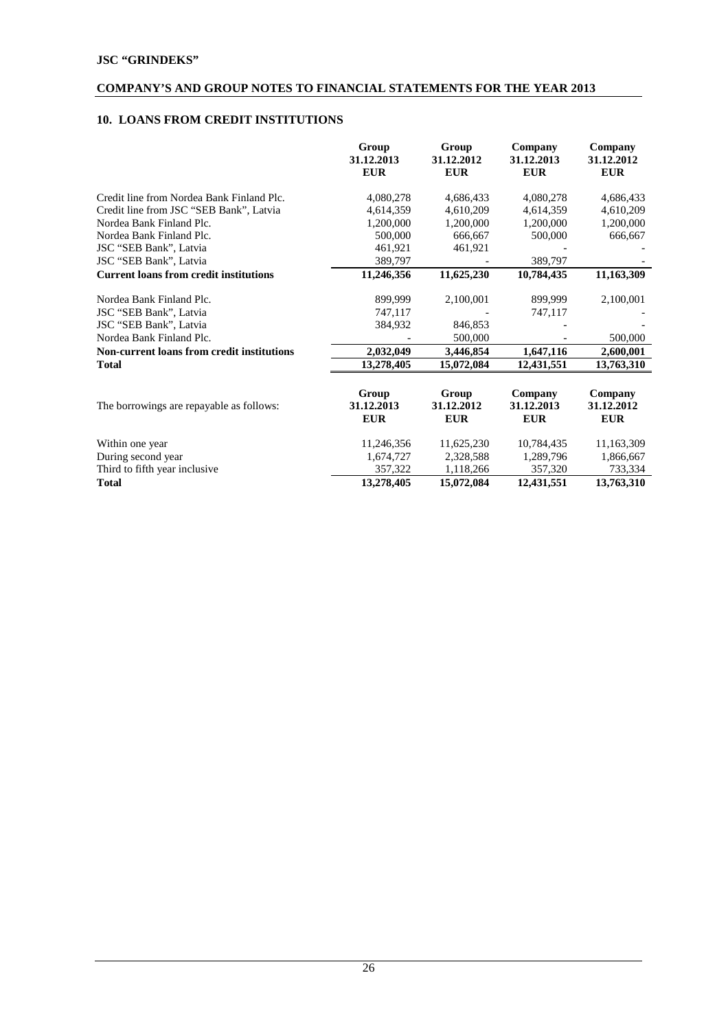# **10. LOANS FROM CREDIT INSTITUTIONS**

|                                                   | Group<br>31.12.2013<br><b>EUR</b> | Group<br>31.12.2012<br><b>EUR</b> | Company<br>31.12.2013<br><b>EUR</b> | Company<br>31.12.2012<br><b>EUR</b> |
|---------------------------------------------------|-----------------------------------|-----------------------------------|-------------------------------------|-------------------------------------|
| Credit line from Nordea Bank Finland Plc.         | 4,080,278                         | 4,686,433                         | 4,080,278                           | 4,686,433                           |
| Credit line from JSC "SEB Bank", Latvia           | 4,614,359                         | 4,610,209                         | 4,614,359                           | 4,610,209                           |
| Nordea Bank Finland Plc.                          | 1,200,000                         | 1,200,000                         | 1,200,000                           | 1,200,000                           |
| Nordea Bank Finland Plc.                          | 500,000                           | 666,667                           | 500,000                             | 666,667                             |
| JSC "SEB Bank", Latvia                            | 461,921                           | 461,921                           |                                     |                                     |
| JSC "SEB Bank", Latvia                            | 389,797                           |                                   | 389,797                             |                                     |
| <b>Current loans from credit institutions</b>     | 11,246,356                        | 11,625,230                        | 10,784,435                          | 11,163,309                          |
| Nordea Bank Finland Plc.                          | 899,999                           | 2,100,001                         | 899,999                             | 2,100,001                           |
| JSC "SEB Bank", Latvia                            | 747,117                           |                                   | 747,117                             |                                     |
| JSC "SEB Bank", Latvia                            | 384,932                           | 846,853                           |                                     |                                     |
| Nordea Bank Finland Plc.                          |                                   | 500,000                           |                                     | 500,000                             |
| <b>Non-current loans from credit institutions</b> | 2,032,049                         | 3,446,854                         | 1,647,116                           | 2,600,001                           |
| Total                                             | 13,278,405                        | 15,072,084                        | 12,431,551                          | 13,763,310                          |
|                                                   | Group                             | Group                             | Company                             | Company                             |
| The borrowings are repayable as follows:          | 31.12.2013<br><b>EUR</b>          | 31.12.2012<br><b>EUR</b>          | 31.12.2013<br><b>EUR</b>            | 31.12.2012<br><b>EUR</b>            |
| Within one year                                   | 11,246,356                        | 11,625,230                        | 10,784,435                          | 11,163,309                          |
| During second year                                | 1,674,727                         | 2,328,588                         | 1,289,796                           | 1,866,667                           |
| Third to fifth year inclusive                     | 357,322                           | 1,118,266                         | 357,320                             | 733,334                             |
| <b>Total</b>                                      | 13,278,405                        | 15,072,084                        | 12,431,551                          | 13,763,310                          |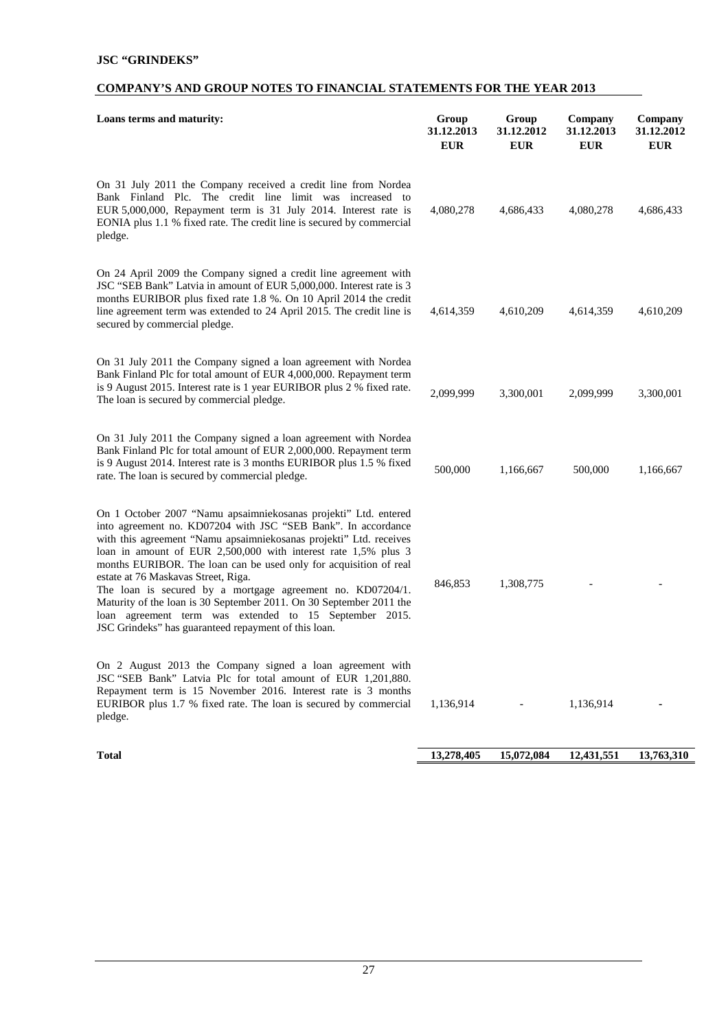# **COMPANY'S AND GROUP NOTES TO FINANCIAL STATEMENTS FOR THE YEAR 2013**

| Loans terms and maturity:                                                                                                                                                                                                                                                                                                                                                                                                                                                                                                                                                                                                                   | Group<br>31.12.2013<br><b>EUR</b> | Group<br>31.12.2012<br><b>EUR</b> | Company<br>31.12.2013<br><b>EUR</b> | Company<br>31.12.2012<br><b>EUR</b> |
|---------------------------------------------------------------------------------------------------------------------------------------------------------------------------------------------------------------------------------------------------------------------------------------------------------------------------------------------------------------------------------------------------------------------------------------------------------------------------------------------------------------------------------------------------------------------------------------------------------------------------------------------|-----------------------------------|-----------------------------------|-------------------------------------|-------------------------------------|
| On 31 July 2011 the Company received a credit line from Nordea<br>Bank Finland Plc. The credit line limit was increased to<br>EUR 5,000,000, Repayment term is 31 July 2014. Interest rate is<br>EONIA plus 1.1 % fixed rate. The credit line is secured by commercial<br>pledge.                                                                                                                                                                                                                                                                                                                                                           | 4,080,278                         | 4,686,433                         | 4,080,278                           | 4,686,433                           |
| On 24 April 2009 the Company signed a credit line agreement with<br>JSC "SEB Bank" Latvia in amount of EUR 5,000,000. Interest rate is 3<br>months EURIBOR plus fixed rate 1.8 %. On 10 April 2014 the credit<br>line agreement term was extended to 24 April 2015. The credit line is<br>secured by commercial pledge.                                                                                                                                                                                                                                                                                                                     | 4,614,359                         | 4,610,209                         | 4,614,359                           | 4,610,209                           |
| On 31 July 2011 the Company signed a loan agreement with Nordea<br>Bank Finland Plc for total amount of EUR 4,000,000. Repayment term<br>is 9 August 2015. Interest rate is 1 year EURIBOR plus 2 % fixed rate.<br>The loan is secured by commercial pledge.                                                                                                                                                                                                                                                                                                                                                                                | 2,099,999                         | 3,300,001                         | 2,099,999                           | 3,300,001                           |
| On 31 July 2011 the Company signed a loan agreement with Nordea<br>Bank Finland Plc for total amount of EUR 2,000,000. Repayment term<br>is 9 August 2014. Interest rate is 3 months EURIBOR plus 1.5 % fixed<br>rate. The loan is secured by commercial pledge.                                                                                                                                                                                                                                                                                                                                                                            | 500,000                           | 1,166,667                         | 500,000                             | 1,166,667                           |
| On 1 October 2007 "Namu apsaimniekosanas projekti" Ltd. entered<br>into agreement no. KD07204 with JSC "SEB Bank". In accordance<br>with this agreement "Namu apsaimniekosanas projekti" Ltd. receives<br>loan in amount of EUR 2,500,000 with interest rate 1,5% plus 3<br>months EURIBOR. The loan can be used only for acquisition of real<br>estate at 76 Maskavas Street, Riga.<br>The loan is secured by a mortgage agreement no. KD07204/1.<br>Maturity of the loan is 30 September 2011. On 30 September 2011 the<br>loan agreement term was extended to 15 September 2015.<br>JSC Grindeks" has guaranteed repayment of this loan. | 846,853                           | 1,308,775                         |                                     |                                     |
| On 2 August 2013 the Company signed a loan agreement with<br>JSC "SEB Bank" Latvia Plc for total amount of EUR 1,201,880.<br>Repayment term is 15 November 2016. Interest rate is 3 months<br>EURIBOR plus 1.7 % fixed rate. The loan is secured by commercial<br>pledge.                                                                                                                                                                                                                                                                                                                                                                   | 1,136,914                         |                                   | 1,136,914                           |                                     |
| <b>Total</b>                                                                                                                                                                                                                                                                                                                                                                                                                                                                                                                                                                                                                                | 13,278,405                        | 15,072,084                        | 12,431,551                          | 13,763,310                          |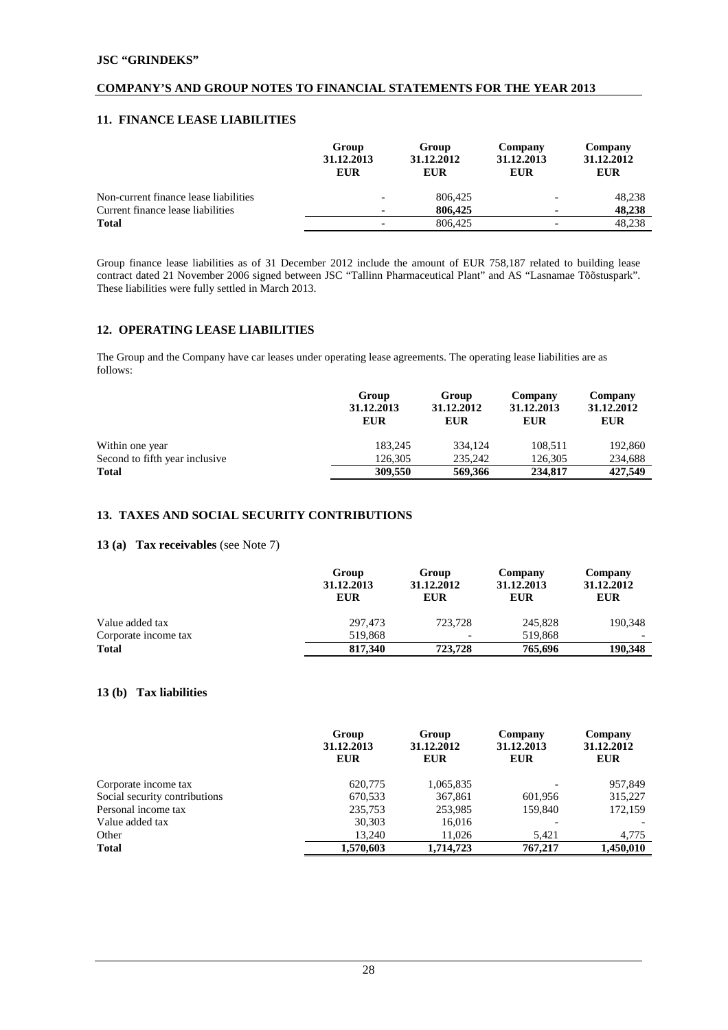## **11. FINANCE LEASE LIABILITIES**

|                                       | Group<br>31.12.2013<br><b>EUR</b> | Group<br>31.12.2012<br><b>EUR</b> | Company<br>31.12.2013<br><b>EUR</b> | Company<br>31.12.2012<br><b>EUR</b> |
|---------------------------------------|-----------------------------------|-----------------------------------|-------------------------------------|-------------------------------------|
| Non-current finance lease liabilities |                                   | 806,425                           |                                     | 48,238                              |
| Current finance lease liabilities     | $\blacksquare$                    | 806,425                           |                                     | 48.238                              |
| <b>Total</b>                          | $\overline{\phantom{a}}$          | 806,425                           |                                     | 48.238                              |

Group finance lease liabilities as of 31 December 2012 include the amount of EUR 758,187 related to building lease contract dated 21 November 2006 signed between JSC "Tallinn Pharmaceutical Plant" and AS "Lasnamae Tõõstuspark". These liabilities were fully settled in March 2013.

# **12. OPERATING LEASE LIABILITIES**

The Group and the Company have car leases under operating lease agreements. The operating lease liabilities are as follows:

|                                 | Group<br>31.12.2013<br><b>EUR</b> | Group<br>31.12.2012<br><b>EUR</b> | Company<br>31.12.2013<br><b>EUR</b> | Company<br>31.12.2012<br><b>EUR</b> |
|---------------------------------|-----------------------------------|-----------------------------------|-------------------------------------|-------------------------------------|
| Within one year                 | 183,245                           | 334,124                           | 108,511                             | 192,860                             |
| Second to fifth year inclusive. | 126,305                           | 235,242                           | 126,305                             | 234,688                             |
| <b>Total</b>                    | 309,550                           | 569,366                           | 234,817                             | 427,549                             |
|                                 |                                   |                                   |                                     |                                     |

## **13. TAXES AND SOCIAL SECURITY CONTRIBUTIONS**

# **13 (a) Tax receivables** (see Note 7)

|                      | Group<br>31.12.2013<br><b>EUR</b> | Group<br>31.12.2012<br><b>EUR</b> | Company<br>31.12.2013<br><b>EUR</b> | Company<br>31.12.2012<br><b>EUR</b> |
|----------------------|-----------------------------------|-----------------------------------|-------------------------------------|-------------------------------------|
| Value added tax      | 297,473                           | 723,728                           | 245,828                             | 190,348                             |
| Corporate income tax | 519.868                           | $\overline{\phantom{a}}$          | 519.868                             |                                     |
| <b>Total</b>         | 817,340                           | 723,728                           | 765.696                             | 190,348                             |

# **13 (b) Tax liabilities**

|                               | Group<br>31.12.2013<br><b>EUR</b> | Group<br>31.12.2012<br><b>EUR</b> | Company<br>31.12.2013<br><b>EUR</b> | Company<br>31.12.2012<br><b>EUR</b> |
|-------------------------------|-----------------------------------|-----------------------------------|-------------------------------------|-------------------------------------|
| Corporate income tax          | 620,775                           | 1,065,835                         |                                     | 957,849                             |
| Social security contributions | 670,533                           | 367,861                           | 601,956                             | 315,227                             |
| Personal income tax           | 235,753                           | 253,985                           | 159,840                             | 172,159                             |
| Value added tax               | 30,303                            | 16,016                            |                                     |                                     |
| Other                         | 13,240                            | 11,026                            | 5,421                               | 4,775                               |
| <b>Total</b>                  | 1,570,603                         | 1,714,723                         | 767,217                             | 1.450.010                           |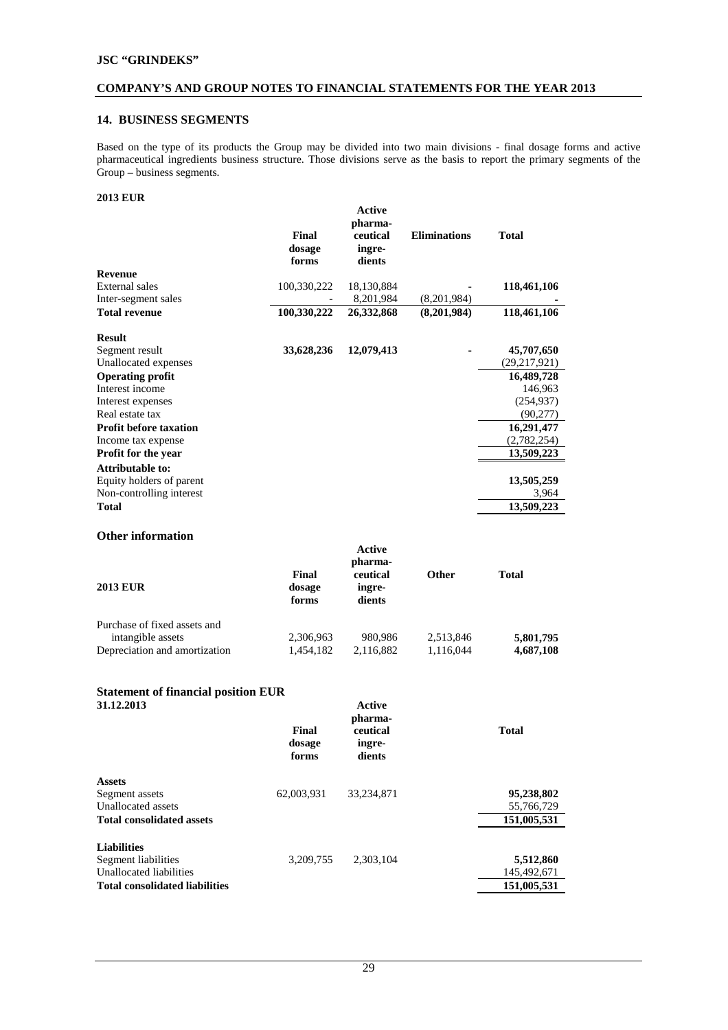#### **14. BUSINESS SEGMENTS**

Based on the type of its products the Group may be divided into two main divisions - final dosage forms and active pharmaceutical ingredients business structure. Those divisions serve as the basis to report the primary segments of the Group – business segments.

# **2013 EUR**

|                               | <b>Final</b><br>dosage<br>forms | Active<br>pharma-<br>ceutical<br>ingre-<br>dients | <b>Eliminations</b> | <b>Total</b>   |
|-------------------------------|---------------------------------|---------------------------------------------------|---------------------|----------------|
| <b>Revenue</b>                |                                 |                                                   |                     |                |
| <b>External sales</b>         | 100,330,222                     | 18,130,884                                        |                     | 118,461,106    |
| Inter-segment sales           |                                 | 8,201,984                                         | (8,201,984)         |                |
| <b>Total revenue</b>          | 100,330,222                     | 26,332,868                                        | (8,201,984)         | 118,461,106    |
| <b>Result</b>                 |                                 |                                                   |                     |                |
| Segment result                | 33,628,236                      | 12,079,413                                        |                     | 45,707,650     |
| Unallocated expenses          |                                 |                                                   |                     | (29, 217, 921) |
| <b>Operating profit</b>       |                                 |                                                   |                     | 16,489,728     |
| Interest income               |                                 |                                                   |                     | 146,963        |
| Interest expenses             |                                 |                                                   |                     | (254, 937)     |
| Real estate tax               |                                 |                                                   |                     | (90, 277)      |
| <b>Profit before taxation</b> |                                 |                                                   |                     | 16,291,477     |
| Income tax expense            |                                 |                                                   |                     | (2,782,254)    |
| <b>Profit for the year</b>    |                                 |                                                   |                     | 13,509,223     |
| <b>Attributable to:</b>       |                                 |                                                   |                     |                |
| Equity holders of parent      |                                 |                                                   |                     | 13,505,259     |
| Non-controlling interest      |                                 |                                                   |                     | 3,964          |
| <b>Total</b>                  |                                 |                                                   |                     | 13,509,223     |

# **Other information**

| <b>2013 EUR</b>                                                                    | Final<br>dosage<br>forms | Active<br>pharma-<br>ceutical<br>ingre-<br>dients | <b>Other</b>           | <b>Total</b>           |
|------------------------------------------------------------------------------------|--------------------------|---------------------------------------------------|------------------------|------------------------|
| Purchase of fixed assets and<br>intangible assets<br>Depreciation and amortization | 2,306,963<br>1,454,182   | 980.986<br>2,116,882                              | 2,513,846<br>1,116,044 | 5,801,795<br>4,687,108 |

# **Statement of financial position EUR**

| 31.12.2013                            | Final<br>dosage<br>forms | Active<br>pharma-<br>ceutical<br>ingre-<br>dients | <b>Total</b> |
|---------------------------------------|--------------------------|---------------------------------------------------|--------------|
| <b>Assets</b>                         |                          |                                                   |              |
| Segment assets                        | 62,003,931               | 33.234.871                                        | 95,238,802   |
| Unallocated assets                    |                          |                                                   | 55,766,729   |
| <b>Total consolidated assets</b>      |                          |                                                   | 151,005,531  |
| <b>Liabilities</b>                    |                          |                                                   |              |
| Segment liabilities                   | 3.209.755                | 2.303.104                                         | 5,512,860    |
| Unallocated liabilities               |                          |                                                   | 145,492,671  |
| <b>Total consolidated liabilities</b> |                          |                                                   | 151,005,531  |
|                                       |                          |                                                   |              |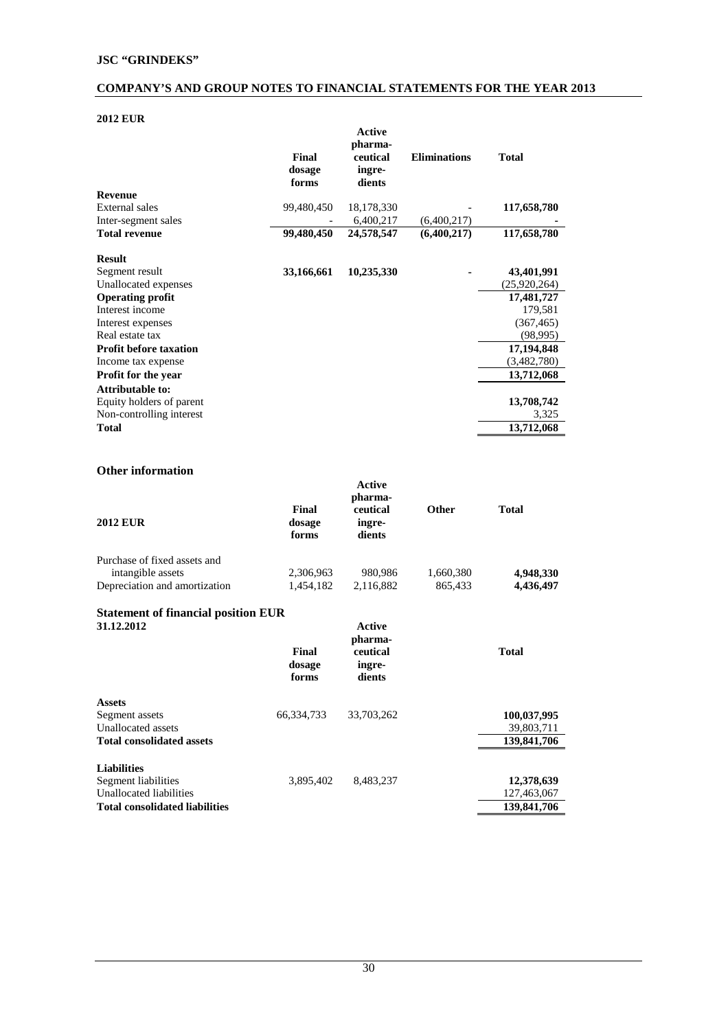# **2012 EUR**

| ZVIZ EUR                      |                          |                                                   |                     |              |
|-------------------------------|--------------------------|---------------------------------------------------|---------------------|--------------|
|                               | Final<br>dosage<br>forms | Active<br>pharma-<br>ceutical<br>ingre-<br>dients | <b>Eliminations</b> | <b>Total</b> |
| <b>Revenue</b>                |                          |                                                   |                     |              |
| <b>External sales</b>         | 99,480,450               | 18,178,330                                        |                     | 117,658,780  |
| Inter-segment sales           |                          | 6,400,217                                         | (6,400,217)         |              |
| <b>Total revenue</b>          | 99,480,450               | 24,578,547                                        | (6,400,217)         | 117,658,780  |
| <b>Result</b>                 |                          |                                                   |                     |              |
| Segment result                | 33,166,661               | 10,235,330                                        |                     | 43,401,991   |
| Unallocated expenses          |                          |                                                   |                     | (25,920,264) |
| <b>Operating profit</b>       |                          |                                                   |                     | 17,481,727   |
| Interest income               |                          |                                                   |                     | 179,581      |
| Interest expenses             |                          |                                                   |                     | (367, 465)   |
| Real estate tax               |                          |                                                   |                     | (98,995)     |
| <b>Profit before taxation</b> |                          |                                                   |                     | 17,194,848   |
| Income tax expense            |                          |                                                   |                     | (3,482,780)  |
| <b>Profit for the year</b>    |                          |                                                   |                     | 13,712,068   |
| <b>Attributable to:</b>       |                          |                                                   |                     |              |
| Equity holders of parent      |                          |                                                   |                     | 13,708,742   |
| Non-controlling interest      |                          |                                                   |                     | 3,325        |
| <b>Total</b>                  |                          |                                                   |                     | 13,712,068   |

# **Other information**

|                               |                          | Active<br>pharma-            |              |           |
|-------------------------------|--------------------------|------------------------------|--------------|-----------|
| <b>2012 EUR</b>               | Final<br>dosage<br>forms | ceutical<br>ingre-<br>dients | <b>Other</b> | Total     |
| Purchase of fixed assets and  |                          |                              |              |           |
| intangible assets             | 2,306,963                | 980.986                      | 1,660,380    | 4,948,330 |
| Depreciation and amortization | 1,454,182                | 2,116,882                    | 865,433      | 4,436,497 |

# **Statement of financial position EUR**

| 31.12.2012                            |                          | Active<br>pharma-            |              |
|---------------------------------------|--------------------------|------------------------------|--------------|
|                                       | Final<br>dosage<br>forms | ceutical<br>ingre-<br>dients | <b>Total</b> |
| <b>Assets</b>                         |                          |                              |              |
| Segment assets                        | 66.334.733               | 33,703,262                   | 100,037,995  |
| Unallocated assets                    |                          |                              | 39,803,711   |
| <b>Total consolidated assets</b>      |                          |                              | 139,841,706  |
| <b>Liabilities</b>                    |                          |                              |              |
| Segment liabilities                   | 3,895,402                | 8.483.237                    | 12,378,639   |
| Unallocated liabilities               |                          |                              | 127,463,067  |
| <b>Total consolidated liabilities</b> |                          |                              | 139,841,706  |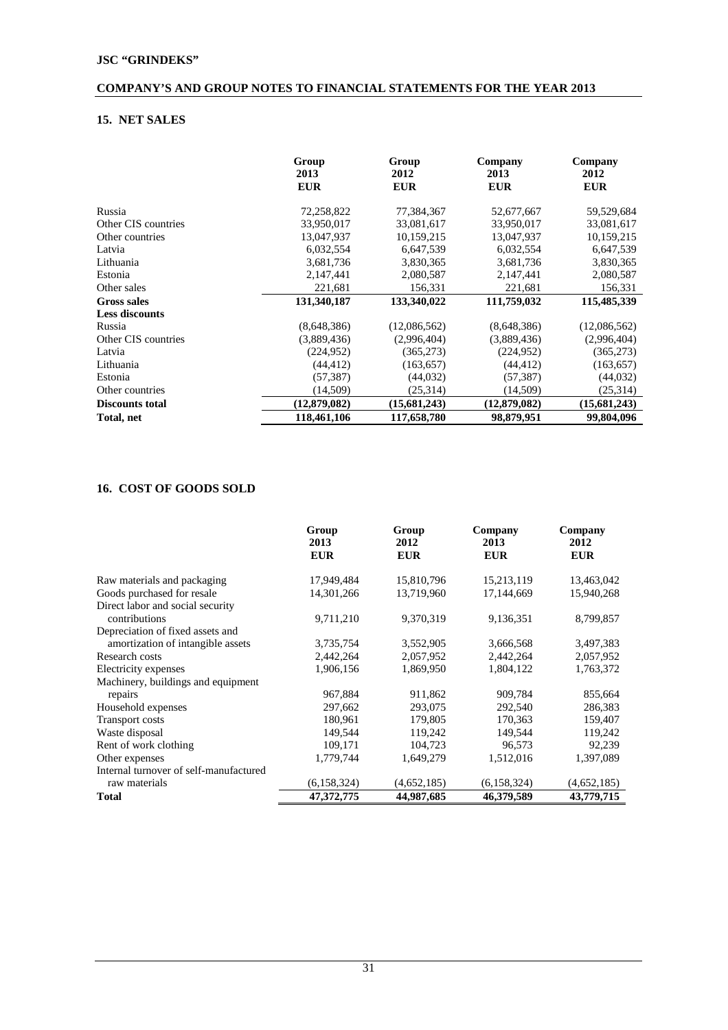# **15. NET SALES**

|                        | Group<br>2013<br><b>EUR</b> | Group<br>2012<br><b>EUR</b> | Company<br>2013<br><b>EUR</b> | Company<br>2012<br><b>EUR</b> |
|------------------------|-----------------------------|-----------------------------|-------------------------------|-------------------------------|
| Russia                 | 72,258,822                  | 77,384,367                  | 52,677,667                    | 59,529,684                    |
| Other CIS countries    | 33,950,017                  | 33,081,617                  | 33,950,017                    | 33,081,617                    |
| Other countries        | 13.047.937                  | 10,159,215                  | 13.047.937                    | 10,159,215                    |
| Latvia                 | 6,032,554                   | 6,647,539                   | 6,032,554                     | 6,647,539                     |
| Lithuania              | 3,681,736                   | 3,830,365                   | 3,681,736                     | 3,830,365                     |
| Estonia                | 2,147,441                   | 2,080,587                   | 2,147,441                     | 2,080,587                     |
| Other sales            | 221,681                     | 156,331                     | 221,681                       | 156,331                       |
| <b>Gross sales</b>     | 131,340,187                 | 133,340,022                 | 111,759,032                   | 115,485,339                   |
| <b>Less discounts</b>  |                             |                             |                               |                               |
| Russia                 | (8,648,386)                 | (12,086,562)                | (8,648,386)                   | (12,086,562)                  |
| Other CIS countries    | (3,889,436)                 | (2,996,404)                 | (3,889,436)                   | (2,996,404)                   |
| Latvia                 | (224, 952)                  | (365, 273)                  | (224, 952)                    | (365, 273)                    |
| Lithuania              | (44, 412)                   | (163, 657)                  | (44, 412)                     | (163, 657)                    |
| Estonia                | (57, 387)                   | (44, 032)                   | (57, 387)                     | (44, 032)                     |
| Other countries        | (14,509)                    | (25,314)                    | (14,509)                      | (25,314)                      |
| <b>Discounts total</b> | (12,879,082)                | (15,681,243)                | (12,879,082)                  | (15,681,243)                  |
| Total, net             | 118,461,106                 | 117,658,780                 | 98,879,951                    | 99,804,096                    |

# **16. COST OF GOODS SOLD**

|                                        | Group<br>2013<br><b>EUR</b> | Group<br>2012<br><b>EUR</b> | Company<br>2013<br><b>EUR</b> | Company<br>2012<br><b>EUR</b> |
|----------------------------------------|-----------------------------|-----------------------------|-------------------------------|-------------------------------|
| Raw materials and packaging            | 17,949,484                  | 15,810,796                  | 15,213,119                    | 13,463,042                    |
| Goods purchased for resale             | 14,301,266                  | 13,719,960                  | 17,144,669                    | 15,940,268                    |
| Direct labor and social security       |                             |                             |                               |                               |
| contributions                          | 9,711,210                   | 9,370,319                   | 9,136,351                     | 8,799,857                     |
| Depreciation of fixed assets and       |                             |                             |                               |                               |
| amortization of intangible assets      | 3,735,754                   | 3,552,905                   | 3,666,568                     | 3,497,383                     |
| Research costs                         | 2,442,264                   | 2,057,952                   | 2,442,264                     | 2,057,952                     |
| Electricity expenses                   | 1,906,156                   | 1,869,950                   | 1,804,122                     | 1,763,372                     |
| Machinery, buildings and equipment     |                             |                             |                               |                               |
| repairs                                | 967,884                     | 911,862                     | 909,784                       | 855,664                       |
| Household expenses                     | 297,662                     | 293,075                     | 292,540                       | 286,383                       |
| <b>Transport costs</b>                 | 180,961                     | 179,805                     | 170,363                       | 159,407                       |
| Waste disposal                         | 149,544                     | 119,242                     | 149,544                       | 119,242                       |
| Rent of work clothing                  | 109,171                     | 104,723                     | 96,573                        | 92,239                        |
| Other expenses                         | 1,779,744                   | 1,649,279                   | 1,512,016                     | 1,397,089                     |
| Internal turnover of self-manufactured |                             |                             |                               |                               |
| raw materials                          | (6, 158, 324)               | (4,652,185)                 | (6,158,324)                   | (4,652,185)                   |
| <b>Total</b>                           | 47,372,775                  | 44,987,685                  | 46,379,589                    | 43,779,715                    |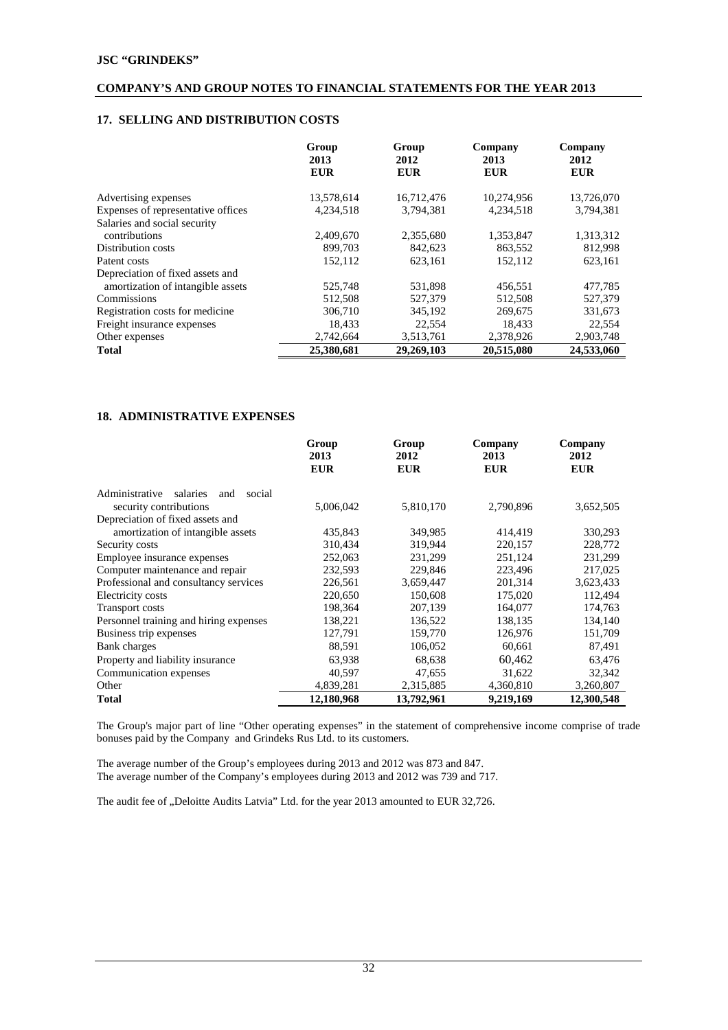# **17. SELLING AND DISTRIBUTION COSTS**

|                                    | Group<br>2013<br><b>EUR</b> | Group<br>2012<br><b>EUR</b> | Company<br>2013<br><b>EUR</b> | Company<br>2012<br><b>EUR</b> |
|------------------------------------|-----------------------------|-----------------------------|-------------------------------|-------------------------------|
| Advertising expenses               | 13,578,614                  | 16,712,476                  | 10,274,956                    | 13,726,070                    |
| Expenses of representative offices | 4,234,518                   | 3.794.381                   | 4,234,518                     | 3,794,381                     |
| Salaries and social security       |                             |                             |                               |                               |
| contributions                      | 2,409,670                   | 2,355,680                   | 1,353,847                     | 1,313,312                     |
| Distribution costs                 | 899,703                     | 842,623                     | 863,552                       | 812,998                       |
| Patent costs                       | 152,112                     | 623,161                     | 152,112                       | 623,161                       |
| Depreciation of fixed assets and   |                             |                             |                               |                               |
| amortization of intangible assets  | 525,748                     | 531,898                     | 456,551                       | 477,785                       |
| Commissions                        | 512,508                     | 527,379                     | 512,508                       | 527,379                       |
| Registration costs for medicine    | 306,710                     | 345,192                     | 269,675                       | 331,673                       |
| Freight insurance expenses         | 18,433                      | 22,554                      | 18,433                        | 22,554                        |
| Other expenses                     | 2,742,664                   | 3,513,761                   | 2,378,926                     | 2,903,748                     |
| <b>Total</b>                       | 25,380,681                  | 29.269.103                  | 20,515,080                    | 24,533,060                    |

#### **18. ADMINISTRATIVE EXPENSES**

|                                             | Group<br>2013<br><b>EUR</b> | Group<br>2012<br><b>EUR</b> | Company<br>2013<br><b>EUR</b> | Company<br>2012<br><b>EUR</b> |
|---------------------------------------------|-----------------------------|-----------------------------|-------------------------------|-------------------------------|
| Administrative<br>salaries<br>social<br>and |                             |                             |                               |                               |
| security contributions                      | 5,006,042                   | 5,810,170                   | 2,790,896                     | 3,652,505                     |
| Depreciation of fixed assets and            |                             |                             |                               |                               |
| amortization of intangible assets           | 435,843                     | 349,985                     | 414,419                       | 330,293                       |
| Security costs                              | 310,434                     | 319.944                     | 220,157                       | 228,772                       |
| Employee insurance expenses                 | 252,063                     | 231,299                     | 251,124                       | 231,299                       |
| Computer maintenance and repair             | 232,593                     | 229,846                     | 223,496                       | 217,025                       |
| Professional and consultancy services       | 226,561                     | 3,659,447                   | 201,314                       | 3,623,433                     |
| Electricity costs                           | 220,650                     | 150,608                     | 175,020                       | 112,494                       |
| <b>Transport costs</b>                      | 198,364                     | 207,139                     | 164,077                       | 174,763                       |
| Personnel training and hiring expenses      | 138,221                     | 136,522                     | 138,135                       | 134,140                       |
| Business trip expenses                      | 127,791                     | 159,770                     | 126,976                       | 151,709                       |
| Bank charges                                | 88,591                      | 106,052                     | 60,661                        | 87,491                        |
| Property and liability insurance            | 63,938                      | 68,638                      | 60,462                        | 63,476                        |
| Communication expenses                      | 40,597                      | 47,655                      | 31,622                        | 32,342                        |
| Other                                       | 4,839,281                   | 2,315,885                   | 4,360,810                     | 3,260,807                     |
| <b>Total</b>                                | 12,180,968                  | 13,792,961                  | 9,219,169                     | 12,300,548                    |

The Group's major part of line "Other operating expenses" in the statement of comprehensive income comprise of trade bonuses paid by the Company and Grindeks Rus Ltd. to its customers.

The average number of the Group's employees during 2013 and 2012 was 873 and 847. The average number of the Company's employees during 2013 and 2012 was 739 and 717.

The audit fee of "Deloitte Audits Latvia" Ltd. for the year 2013 amounted to EUR 32,726.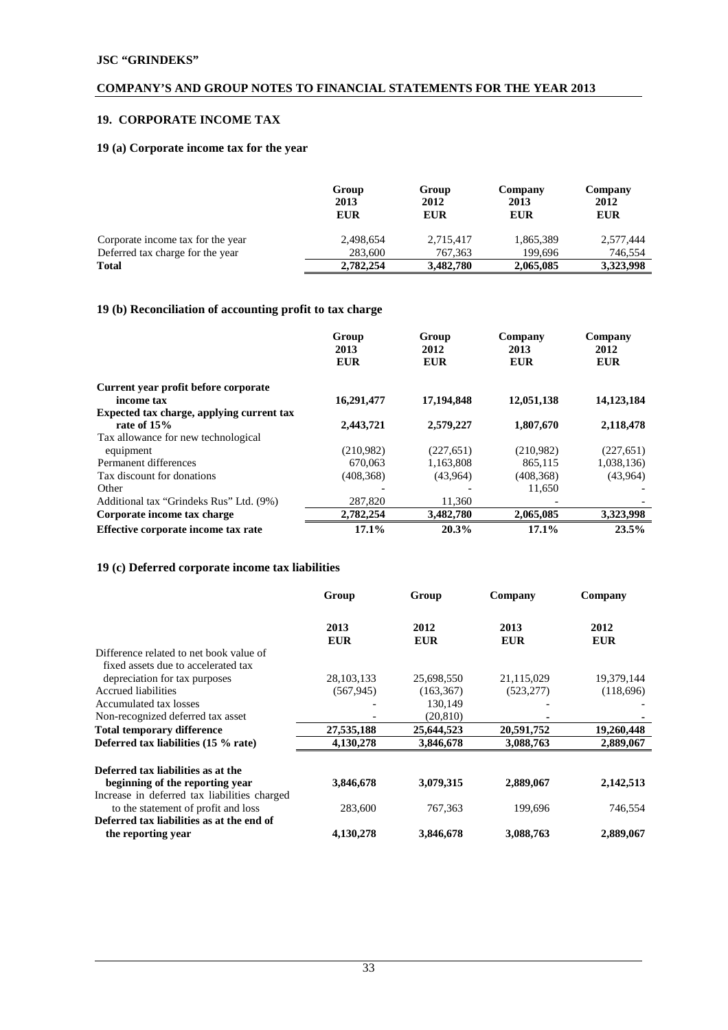# **19. CORPORATE INCOME TAX**

# **19 (a) Corporate income tax for the year**

|                                   | Group<br>2013<br><b>EUR</b> | Group<br>2012<br><b>EUR</b> | Company<br>2013<br><b>EUR</b> | Company<br>2012<br><b>EUR</b> |
|-----------------------------------|-----------------------------|-----------------------------|-------------------------------|-------------------------------|
| Corporate income tax for the year | 2,498,654                   | 2,715,417                   | 1,865,389                     | 2,577,444                     |
| Deferred tax charge for the year  | 283,600                     | 767.363                     | 199.696                       | 746.554                       |
| <b>Total</b>                      | 2,782,254                   | 3,482,780                   | 2,065,085                     | 3,323,998                     |

# **19 (b) Reconciliation of accounting profit to tax charge**

|                                                            | Group<br>2013<br><b>EUR</b> | Group<br>2012<br><b>EUR</b> | Company<br>2013<br><b>EUR</b> | Company<br>2012<br><b>EUR</b> |
|------------------------------------------------------------|-----------------------------|-----------------------------|-------------------------------|-------------------------------|
| Current year profit before corporate                       |                             |                             |                               |                               |
| income tax                                                 | 16,291,477                  | 17,194,848                  | 12,051,138                    | 14,123,184                    |
| Expected tax charge, applying current tax<br>rate of $15%$ | 2,443,721                   | 2,579,227                   | 1,807,670                     | 2,118,478                     |
| Tax allowance for new technological                        |                             |                             |                               |                               |
| equipment                                                  | (210,982)                   | (227, 651)                  | (210.982)                     | (227, 651)                    |
| Permanent differences                                      | 670,063                     | 1,163,808                   | 865,115                       | 1,038,136)                    |
| Tax discount for donations                                 | (408, 368)                  | (43,964)                    | (408, 368)                    | (43,964)                      |
| Other                                                      |                             |                             | 11,650                        |                               |
| Additional tax "Grindeks Rus" Ltd. (9%)                    | 287,820                     | 11,360                      |                               |                               |
| Corporate income tax charge                                | 2,782,254                   | 3,482,780                   | 2,065,085                     | 3,323,998                     |
| Effective corporate income tax rate                        | 17.1%                       | 20.3%                       | 17.1%                         | 23.5%                         |

# **19 (c) Deferred corporate income tax liabilities**

|                                              | Group        | Group      | Company    | Company    |
|----------------------------------------------|--------------|------------|------------|------------|
|                                              | 2013         | 2012       | 2013       | 2012       |
|                                              | <b>EUR</b>   | <b>EUR</b> | <b>EUR</b> | <b>EUR</b> |
| Difference related to net book value of      |              |            |            |            |
| fixed assets due to accelerated tax          |              |            |            |            |
| depreciation for tax purposes                | 28, 103, 133 | 25,698,550 | 21,115,029 | 19,379,144 |
| Accrued liabilities                          | (567, 945)   | (163, 367) | (523, 277) | (118,696)  |
| Accumulated tax losses                       |              | 130,149    |            |            |
| Non-recognized deferred tax asset            |              | (20, 810)  |            |            |
| <b>Total temporary difference</b>            | 27,535,188   | 25,644,523 | 20,591,752 | 19,260,448 |
| Deferred tax liabilities (15 % rate)         | 4,130,278    | 3,846,678  | 3,088,763  | 2,889,067  |
| Deferred tax liabilities as at the           |              |            |            |            |
| beginning of the reporting year              | 3,846,678    | 3,079,315  | 2,889,067  | 2,142,513  |
| Increase in deferred tax liabilities charged |              |            |            |            |
| to the statement of profit and loss          | 283,600      | 767,363    | 199,696    | 746,554    |
| Deferred tax liabilities as at the end of    |              |            |            |            |
| the reporting year                           | 4,130,278    | 3,846,678  | 3,088,763  | 2,889,067  |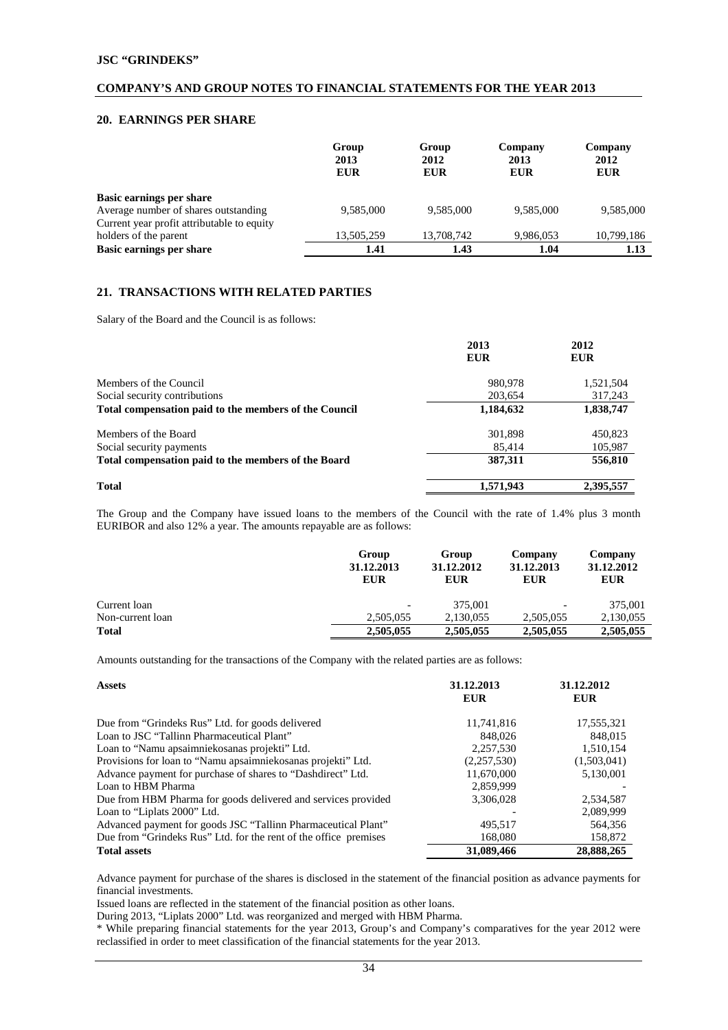## **20. EARNINGS PER SHARE**

|                                            | Group<br>2013<br><b>EUR</b> | Group<br>2012<br><b>EUR</b> | Company<br>2013<br><b>EUR</b> | Company<br>2012<br><b>EUR</b> |
|--------------------------------------------|-----------------------------|-----------------------------|-------------------------------|-------------------------------|
| Basic earnings per share                   |                             |                             |                               |                               |
| Average number of shares outstanding       | 9.585,000                   | 9.585,000                   | 9.585,000                     | 9.585,000                     |
| Current year profit attributable to equity |                             |                             |                               |                               |
| holders of the parent                      | 13,505,259                  | 13,708,742                  | 9,986,053                     | 10,799,186                    |
| Basic earnings per share                   | 1.41                        | 1.43                        | 1.04                          | 1.13                          |

# **21. TRANSACTIONS WITH RELATED PARTIES**

Salary of the Board and the Council is as follows:

|                                                       | 2013<br><b>EUR</b> | 2012<br><b>EUR</b> |
|-------------------------------------------------------|--------------------|--------------------|
| Members of the Council                                | 980,978            | 1,521,504          |
| Social security contributions                         | 203,654            | 317,243            |
| Total compensation paid to the members of the Council | 1,184,632          | 1,838,747          |
| Members of the Board                                  | 301.898            | 450,823            |
| Social security payments                              | 85.414             | 105,987            |
| Total compensation paid to the members of the Board   | 387,311            | 556,810            |
| <b>Total</b>                                          | 1,571,943          | 2,395,557          |

The Group and the Company have issued loans to the members of the Council with the rate of 1.4% plus 3 month EURIBOR and also 12% a year. The amounts repayable are as follows:

|                  | Group<br>31.12.2013<br><b>EUR</b> | Group<br>31.12.2012<br><b>EUR</b> | Company<br>31.12.2013<br><b>EUR</b> | Company<br>31.12.2012<br><b>EUR</b> |
|------------------|-----------------------------------|-----------------------------------|-------------------------------------|-------------------------------------|
| Current loan     | -                                 | 375,001                           | $\overline{\phantom{0}}$            | 375,001                             |
| Non-current loan | 2.505.055                         | 2.130.055                         | 2.505.055                           | 2,130,055                           |
| <b>Total</b>     | 2,505,055                         | 2,505,055                         | 2,505,055                           | 2,505,055                           |

Amounts outstanding for the transactions of the Company with the related parties are as follows:

| <b>Assets</b>                                                    | 31.12.2013<br><b>EUR</b> | 31.12.2012<br><b>EUR</b> |
|------------------------------------------------------------------|--------------------------|--------------------------|
| Due from "Grindeks Rus" Ltd. for goods delivered                 | 11,741,816               | 17,555,321               |
| Loan to JSC "Tallinn Pharmaceutical Plant"                       | 848,026                  | 848,015                  |
| Loan to "Namu apsaimniekosanas projekti" Ltd.                    | 2,257,530                | 1,510,154                |
| Provisions for loan to "Namu apsaimniekosanas projekti" Ltd.     | (2,257,530)              | (1,503,041)              |
| Advance payment for purchase of shares to "Dashdirect" Ltd.      | 11,670,000               | 5,130,001                |
| Loan to HBM Pharma                                               | 2,859,999                |                          |
| Due from HBM Pharma for goods delivered and services provided    | 3.306.028                | 2,534,587                |
| Loan to "Liplats 2000" Ltd.                                      |                          | 2,089,999                |
| Advanced payment for goods JSC "Tallinn Pharmaceutical Plant"    | 495.517                  | 564,356                  |
| Due from "Grindeks Rus" Ltd. for the rent of the office premises | 168,080                  | 158,872                  |
| <b>Total assets</b>                                              | 31,089,466               | 28,888,265               |

Advance payment for purchase of the shares is disclosed in the statement of the financial position as advance payments for financial investments.

Issued loans are reflected in the statement of the financial position as other loans.

During 2013, "Liplats 2000" Ltd. was reorganized and merged with HBM Pharma.

\* While preparing financial statements for the year 2013, Group's and Company's comparatives for the year 2012 were reclassified in order to meet classification of the financial statements for the year 2013.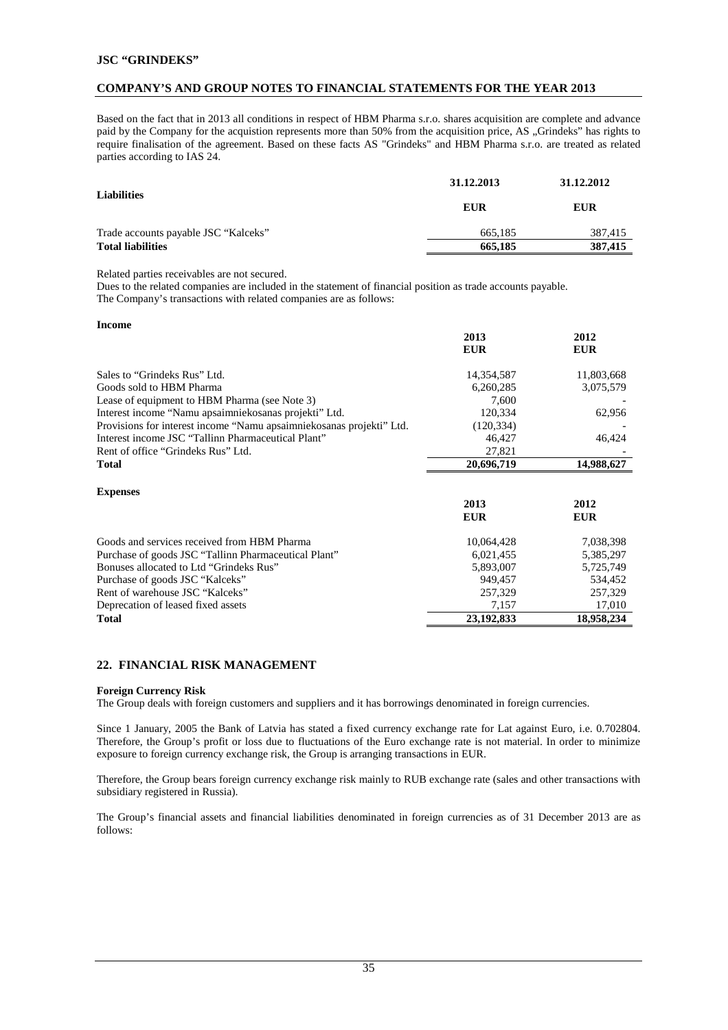## **COMPANY'S AND GROUP NOTES TO FINANCIAL STATEMENTS FOR THE YEAR 2013**

Based on the fact that in 2013 all conditions in respect of HBM Pharma s.r.o. shares acquisition are complete and advance paid by the Company for the acquistion represents more than 50% from the acquisition price, AS "Grindeks" has rights to require finalisation of the agreement. Based on these facts AS "Grindeks" and HBM Pharma s.r.o. are treated as related parties according to IAS 24.

|                                      | 31.12.2013 | 31.12.2012 |  |
|--------------------------------------|------------|------------|--|
| <b>Liabilities</b>                   | EUR        | <b>EUR</b> |  |
| Trade accounts payable JSC "Kalceks" | 665.185    | 387.415    |  |
| <b>Total liabilities</b>             | 665,185    | 387,415    |  |

Related parties receivables are not secured.

Dues to the related companies are included in the statement of financial position as trade accounts payable.

The Company's transactions with related companies are as follows:

| <b>Income</b>                                                        |            |            |
|----------------------------------------------------------------------|------------|------------|
|                                                                      | 2013       | 2012       |
|                                                                      | <b>EUR</b> | <b>EUR</b> |
|                                                                      |            |            |
| Sales to "Grindeks Rus" Ltd.                                         | 14,354,587 | 11,803,668 |
| Goods sold to HBM Pharma                                             | 6,260,285  | 3,075,579  |
| Lease of equipment to HBM Pharma (see Note 3)                        | 7,600      |            |
| Interest income "Namu apsaimniekosanas projekti" Ltd.                | 120,334    | 62,956     |
| Provisions for interest income "Namu apsaimniekosanas projekti" Ltd. | (120, 334) |            |
| Interest income JSC "Tallinn Pharmaceutical Plant"                   | 46,427     | 46,424     |
| Rent of office "Grindeks Rus" Ltd.                                   | 27,821     |            |
| <b>Total</b>                                                         | 20,696,719 | 14,988,627 |
|                                                                      |            |            |
| <b>Expenses</b>                                                      |            |            |
|                                                                      | 2013       | 2012       |
|                                                                      | <b>EUR</b> | <b>EUR</b> |
| Goods and services received from HBM Pharma                          | 10,064,428 | 7,038,398  |
| Purchase of goods JSC "Tallinn Pharmaceutical Plant"                 | 6,021,455  | 5,385,297  |
| Bonuses allocated to Ltd "Grindeks Rus"                              |            |            |
|                                                                      | 5,893,007  | 5,725,749  |
| Purchase of goods JSC "Kalceks"                                      | 949,457    | 534,452    |
| Rent of warehouse JSC "Kalceks"                                      | 257,329    | 257,329    |
| Deprecation of leased fixed assets                                   | 7,157      | 17,010     |
| <b>Total</b>                                                         | 23,192,833 | 18,958,234 |

# **22. FINANCIAL RISK MANAGEMENT**

#### **Foreign Currency Risk**

The Group deals with foreign customers and suppliers and it has borrowings denominated in foreign currencies.

Since 1 January, 2005 the Bank of Latvia has stated a fixed currency exchange rate for Lat against Euro, i.e. 0.702804. Therefore, the Group's profit or loss due to fluctuations of the Euro exchange rate is not material. In order to minimize exposure to foreign currency exchange risk, the Group is arranging transactions in EUR.

Therefore, the Group bears foreign currency exchange risk mainly to RUB exchange rate (sales and other transactions with subsidiary registered in Russia).

The Group's financial assets and financial liabilities denominated in foreign currencies as of 31 December 2013 are as follows: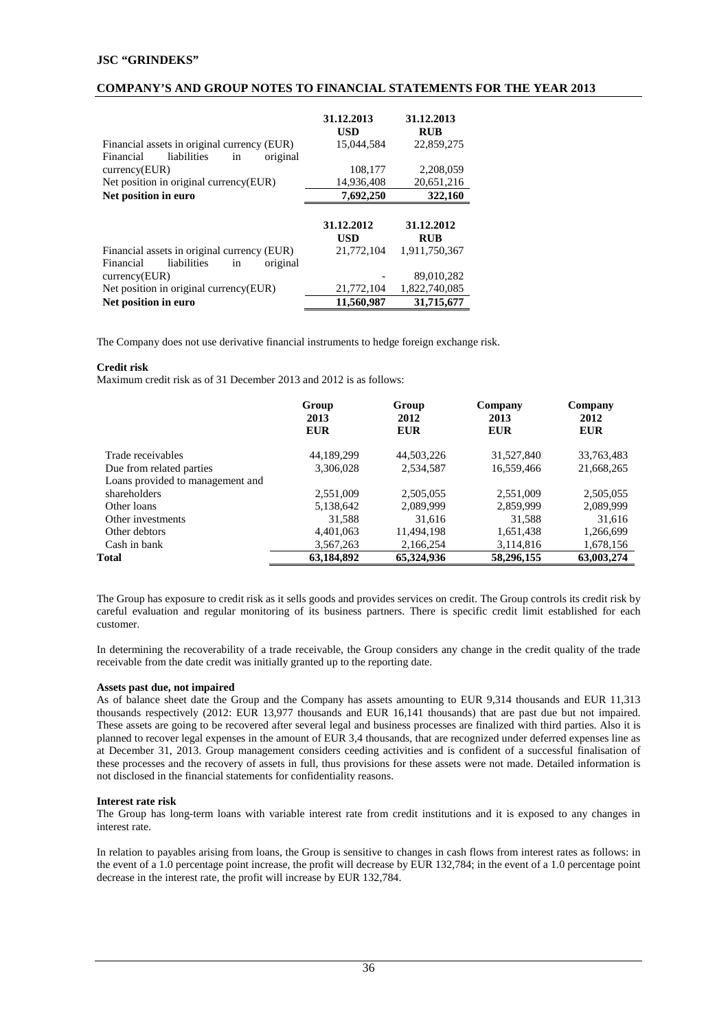## **COMPANY'S AND GROUP NOTES TO FINANCIAL STATEMENTS FOR THE YEAR 2013**

| Financial assets in original currency (EUR) | 31.12.2013<br>USD<br>15.044.584 | 31.12.2013<br><b>RUB</b><br>22,859,275 |
|---------------------------------------------|---------------------------------|----------------------------------------|
| liabilities<br>original<br>Financial<br>in  |                                 |                                        |
| curreacy(EUR)                               | 108,177                         | 2,208,059                              |
| Net position in original currency(EUR)      | 14,936,408                      | 20,651,216                             |
| Net position in euro                        | 7,692,250                       | 322,160                                |
|                                             |                                 |                                        |
|                                             |                                 |                                        |
|                                             | 31.12.2012                      | 31.12.2012                             |
|                                             | <b>USD</b>                      | <b>RUB</b>                             |
| Financial assets in original currency (EUR) | 21,772,104                      | 1,911,750,367                          |
| liabilities<br>Financial<br>original<br>in  |                                 |                                        |
| curreacy(EUR)                               |                                 | 89,010,282                             |
| Net position in original currency (EUR)     | 21,772,104                      | 1.822.740.085                          |

The Company does not use derivative financial instruments to hedge foreign exchange risk.

#### **Credit risk**

Maximum credit risk as of 31 December 2013 and 2012 is as follows:

|                                  | Group<br>2013<br>EUR | Group<br>2012<br><b>EUR</b> | Company<br>2013<br><b>EUR</b> | Company<br>2012<br>EUR |
|----------------------------------|----------------------|-----------------------------|-------------------------------|------------------------|
| Trade receivables                | 44.189.299           | 44,503,226                  | 31,527,840                    | 33,763,483             |
| Due from related parties         | 3,306,028            | 2,534,587                   | 16,559,466                    | 21,668,265             |
| Loans provided to management and |                      |                             |                               |                        |
| shareholders                     | 2,551,009            | 2,505,055                   | 2,551,009                     | 2,505,055              |
| Other loans                      | 5,138,642            | 2,089,999                   | 2,859,999                     | 2,089,999              |
| Other investments                | 31,588               | 31,616                      | 31,588                        | 31.616                 |
| Other debtors                    | 4,401,063            | 11,494,198                  | 1,651,438                     | 1,266,699              |
| Cash in bank                     | 3,567,263            | 2,166,254                   | 3,114,816                     | 1,678,156              |
| Total                            | 63,184,892           | 65,324,936                  | 58,296,155                    | 63,003,274             |

The Group has exposure to credit risk as it sells goods and provides services on credit. The Group controls its credit risk by careful evaluation and regular monitoring of its business partners. There is specific credit limit established for each customer.

In determining the recoverability of a trade receivable, the Group considers any change in the credit quality of the trade receivable from the date credit was initially granted up to the reporting date.

#### **Assets past due, not impaired**

As of balance sheet date the Group and the Company has assets amounting to EUR 9,314 thousands and EUR 11,313 thousands respectively (2012: EUR 13,977 thousands and EUR 16,141 thousands) that are past due but not impaired. These assets are going to be recovered after several legal and business processes are finalized with third parties. Also it is planned to recover legal expenses in the amount of EUR 3,4 thousands, that are recognized under deferred expenses line as at December 31, 2013. Group management considers ceeding activities and is confident of a successful finalisation of these processes and the recovery of assets in full, thus provisions for these assets were not made. Detailed information is not disclosed in the financial statements for confidentiality reasons.

#### **Interest rate risk**

The Group has long-term loans with variable interest rate from credit institutions and it is exposed to any changes in interest rate.

In relation to payables arising from loans, the Group is sensitive to changes in cash flows from interest rates as follows: in the event of a 1.0 percentage point increase, the profit will decrease by EUR 132,784; in the event of a 1.0 percentage point decrease in the interest rate, the profit will increase by EUR 132,784.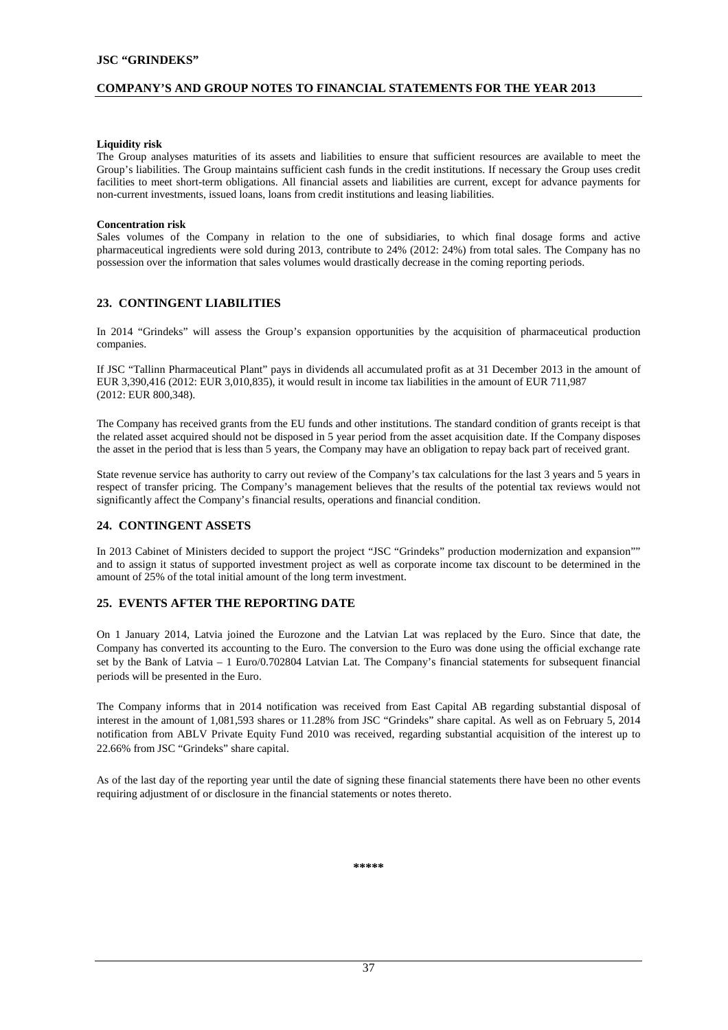#### **COMPANY'S AND GROUP NOTES TO FINANCIAL STATEMENTS FOR THE YEAR 2013**

#### **Liquidity risk**

The Group analyses maturities of its assets and liabilities to ensure that sufficient resources are available to meet the Group's liabilities. The Group maintains sufficient cash funds in the credit institutions. If necessary the Group uses credit facilities to meet short-term obligations. All financial assets and liabilities are current, except for advance payments for non-current investments, issued loans, loans from credit institutions and leasing liabilities.

#### **Concentration risk**

Sales volumes of the Company in relation to the one of subsidiaries, to which final dosage forms and active pharmaceutical ingredients were sold during 2013, contribute to 24% (2012: 24%) from total sales. The Company has no possession over the information that sales volumes would drastically decrease in the coming reporting periods.

#### **23. CONTINGENT LIABILITIES**

In 2014 "Grindeks" will assess the Group's expansion opportunities by the acquisition of pharmaceutical production companies.

If JSC "Tallinn Pharmaceutical Plant" pays in dividends all accumulated profit as at 31 December 2013 in the amount of EUR 3,390,416 (2012: EUR 3,010,835), it would result in income tax liabilities in the amount of EUR 711,987 (2012: EUR 800,348).

The Company has received grants from the EU funds and other institutions. The standard condition of grants receipt is that the related asset acquired should not be disposed in 5 year period from the asset acquisition date. If the Company disposes the asset in the period that is less than 5 years, the Company may have an obligation to repay back part of received grant.

State revenue service has authority to carry out review of the Company's tax calculations for the last 3 years and 5 years in respect of transfer pricing. The Company's management believes that the results of the potential tax reviews would not significantly affect the Company's financial results, operations and financial condition.

## **24. CONTINGENT ASSETS**

In 2013 Cabinet of Ministers decided to support the project "JSC "Grindeks" production modernization and expansion"" and to assign it status of supported investment project as well as corporate income tax discount to be determined in the amount of 25% of the total initial amount of the long term investment.

# **25. EVENTS AFTER THE REPORTING DATE**

On 1 January 2014, Latvia joined the Eurozone and the Latvian Lat was replaced by the Euro. Since that date, the Company has converted its accounting to the Euro. The conversion to the Euro was done using the official exchange rate set by the Bank of Latvia – 1 Euro/0.702804 Latvian Lat. The Company's financial statements for subsequent financial periods will be presented in the Euro.

The Company informs that in 2014 notification was received from East Capital AB regarding substantial disposal of interest in the amount of 1,081,593 shares or 11.28% from JSC "Grindeks" share capital. As well as on February 5, 2014 notification from ABLV Private Equity Fund 2010 was received, regarding substantial acquisition of the interest up to 22.66% from JSC "Grindeks" share capital.

As of the last day of the reporting year until the date of signing these financial statements there have been no other events requiring adjustment of or disclosure in the financial statements or notes thereto.

**\*\*\*\*\***